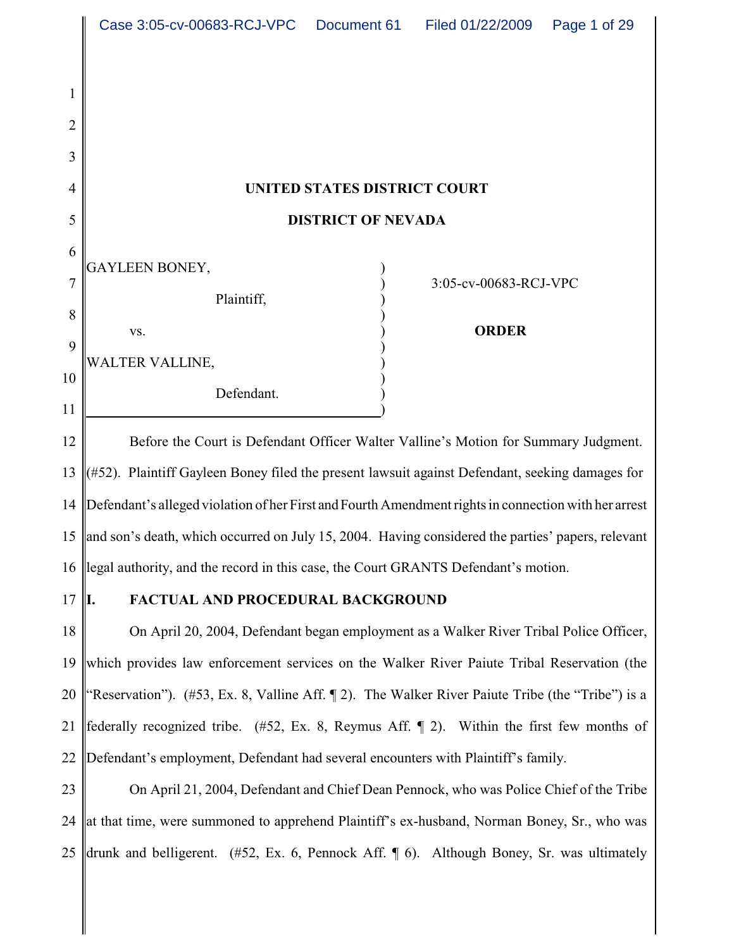|                          | Case 3:05-cv-00683-RCJ-VPC<br>Page 1 of 29<br>Document 61<br>Filed 01/22/2009                        |
|--------------------------|------------------------------------------------------------------------------------------------------|
| 1<br>$\overline{2}$<br>3 |                                                                                                      |
| 4                        | UNITED STATES DISTRICT COURT                                                                         |
| 5                        | <b>DISTRICT OF NEVADA</b>                                                                            |
| 6<br>7<br>8              | GAYLEEN BONEY,<br>3:05-cv-00683-RCJ-VPC<br>Plaintiff,                                                |
| 9                        | <b>ORDER</b><br>VS.                                                                                  |
| 10<br>11                 | WALTER VALLINE,<br>Defendant.                                                                        |
| 12                       | Before the Court is Defendant Officer Walter Valline's Motion for Summary Judgment.                  |
| 13                       | (#52). Plaintiff Gayleen Boney filed the present lawsuit against Defendant, seeking damages for      |
| 14                       | Defendant's alleged violation of her First and Fourth Amendment rights in connection with her arrest |
|                          | 15 and son's death, which occurred on July 15, 2004. Having considered the parties' papers, relevant |
| 16                       | llegal authority, and the record in this case, the Court GRANTS Defendant's motion.                  |
| 17                       | FACTUAL AND PROCEDURAL BACKGROUND<br>Ι.                                                              |
| 18                       | On April 20, 2004, Defendant began employment as a Walker River Tribal Police Officer,               |
| 19                       | which provides law enforcement services on the Walker River Paiute Tribal Reservation (the           |
| 20                       | "Reservation"). (#53, Ex. 8, Valline Aff. 12). The Walker River Paiute Tribe (the "Tribe") is a      |
| 21                       | federally recognized tribe. (#52, Ex. 8, Reymus Aff. $\parallel$ 2). Within the first few months of  |
| 22                       | Defendant's employment, Defendant had several encounters with Plaintiff's family.                    |
| 23                       | On April 21, 2004, Defendant and Chief Dean Pennock, who was Police Chief of the Tribe               |
| 24                       | at that time, were summoned to apprehend Plaintiff's ex-husband, Norman Boney, Sr., who was          |
| 25                       | drunk and belligerent. $(\#52, \ Ex. 6, \$ Pennock Aff. $\P$ 6). Although Boney, Sr. was ultimately  |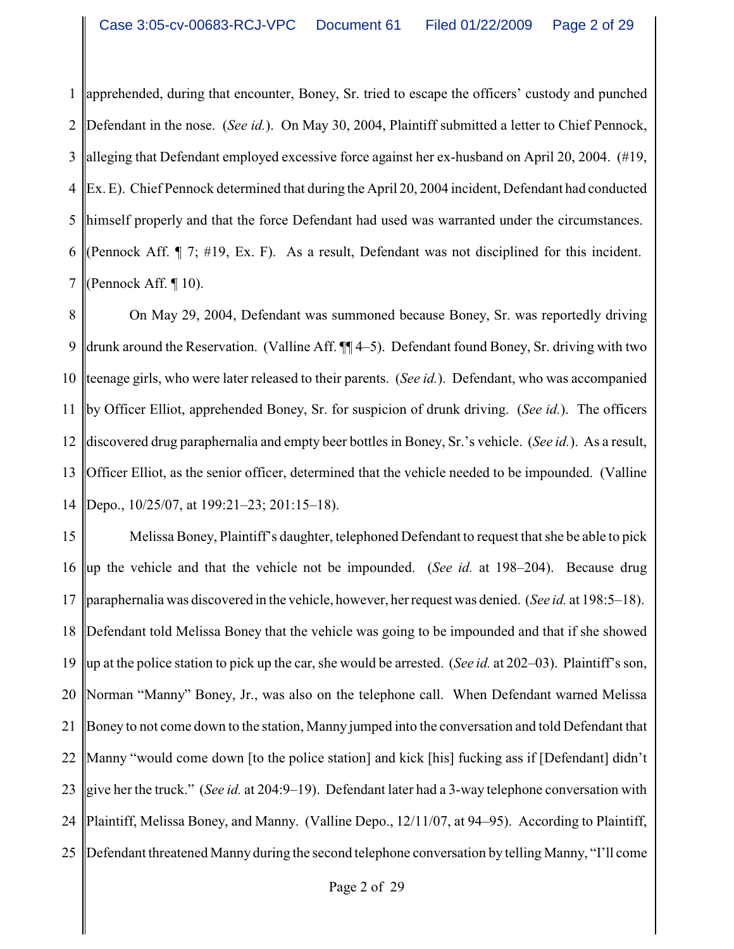1 2 3 4 5 6 7 apprehended, during that encounter, Boney, Sr. tried to escape the officers' custody and punched Defendant in the nose. (*See id.*). On May 30, 2004, Plaintiff submitted a letter to Chief Pennock, alleging that Defendant employed excessive force against her ex-husband on April 20, 2004. (#19, Ex. E). Chief Pennock determined that during the April 20, 2004 incident, Defendant had conducted himself properly and that the force Defendant had used was warranted under the circumstances. (Pennock Aff. ¶ 7; #19, Ex. F). As a result, Defendant was not disciplined for this incident. (Pennock Aff. ¶ 10).

8 9 10 11 12 13 14 On May 29, 2004, Defendant was summoned because Boney, Sr. was reportedly driving drunk around the Reservation. (Valline Aff. ¶¶ 4–5). Defendant found Boney, Sr. driving with two teenage girls, who were later released to their parents. (*See id.*). Defendant, who was accompanied by Officer Elliot, apprehended Boney, Sr. for suspicion of drunk driving. (*See id.*). The officers discovered drug paraphernalia and empty beer bottles in Boney, Sr.'s vehicle. (*See id.*). As a result, Officer Elliot, as the senior officer, determined that the vehicle needed to be impounded. (Valline Depo., 10/25/07, at 199:21–23; 201:15–18).

15 16 17 18 19 20 21 22 23 24 25 Melissa Boney, Plaintiff's daughter, telephoned Defendant to request that she be able to pick up the vehicle and that the vehicle not be impounded. (*See id.* at 198–204). Because drug paraphernalia was discovered in the vehicle, however, her request was denied. (*See id.* at 198:5–18). Defendant told Melissa Boney that the vehicle was going to be impounded and that if she showed up at the police station to pick up the car, she would be arrested. (*See id.* at 202–03). Plaintiff's son, Norman "Manny" Boney, Jr., was also on the telephone call. When Defendant warned Melissa Boney to not come down to the station, Manny jumped into the conversation and told Defendant that Manny "would come down [to the police station] and kick [his] fucking ass if [Defendant] didn't give her the truck." (*See id.* at 204:9–19). Defendant later had a 3-way telephone conversation with Plaintiff, Melissa Boney, and Manny. (Valline Depo., 12/11/07, at 94–95). According to Plaintiff, Defendant threatened Manny during the second telephone conversation by telling Manny, "I'll come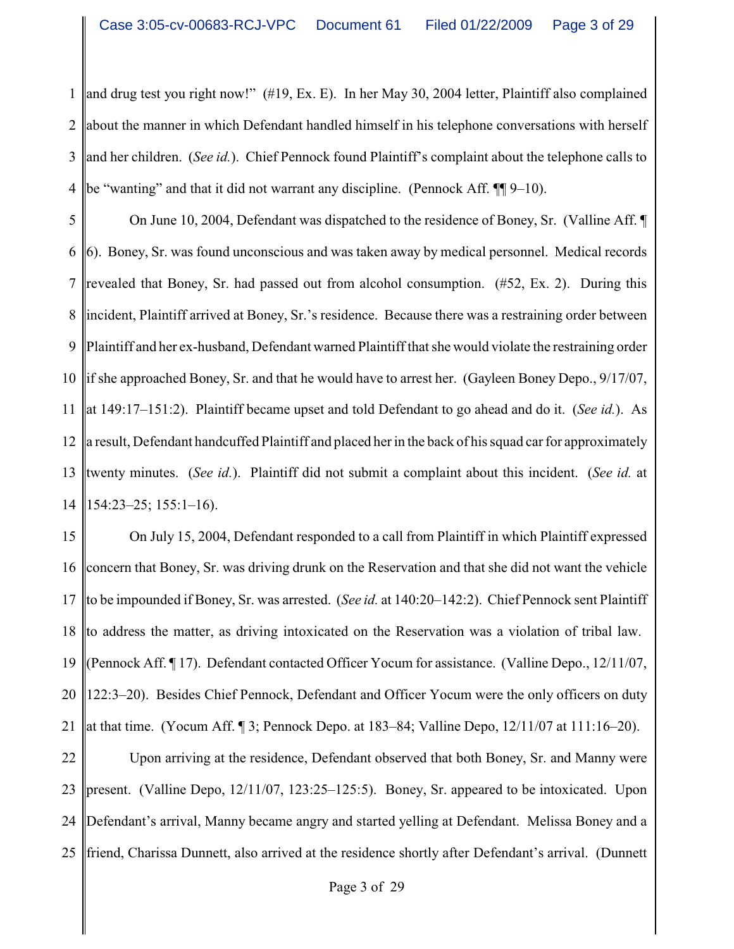1 2 3 4 and drug test you right now!" (#19, Ex. E). In her May 30, 2004 letter, Plaintiff also complained about the manner in which Defendant handled himself in his telephone conversations with herself and her children. (*See id.*). Chief Pennock found Plaintiff's complaint about the telephone calls to be "wanting" and that it did not warrant any discipline. (Pennock Aff. ¶ 9–10).

5 6 7 8 9 10 11 12 13 14 On June 10, 2004, Defendant was dispatched to the residence of Boney, Sr. (Valline Aff. ¶ 6). Boney, Sr. was found unconscious and was taken away by medical personnel. Medical records revealed that Boney, Sr. had passed out from alcohol consumption. (#52, Ex. 2). During this incident, Plaintiff arrived at Boney, Sr.'s residence. Because there was a restraining order between Plaintiff and her ex-husband, Defendant warned Plaintiff that she would violate the restraining order if she approached Boney, Sr. and that he would have to arrest her. (Gayleen Boney Depo., 9/17/07, at 149:17–151:2). Plaintiff became upset and told Defendant to go ahead and do it. (*See id.*). As a result, Defendant handcuffed Plaintiff and placed her in the back of his squad carfor approximately twenty minutes. (*See id.*). Plaintiff did not submit a complaint about this incident. (*See id.* at 154:23–25; 155:1–16).

15 16 17 18 19 20 21 On July 15, 2004, Defendant responded to a call from Plaintiff in which Plaintiff expressed concern that Boney, Sr. was driving drunk on the Reservation and that she did not want the vehicle to be impounded if Boney, Sr. was arrested. (*See id.* at 140:20–142:2). Chief Pennock sent Plaintiff to address the matter, as driving intoxicated on the Reservation was a violation of tribal law. (Pennock Aff. ¶ 17). Defendant contacted Officer Yocum for assistance. (Valline Depo., 12/11/07, 122:3–20). Besides Chief Pennock, Defendant and Officer Yocum were the only officers on duty at that time. (Yocum Aff. ¶ 3; Pennock Depo. at 183–84; Valline Depo, 12/11/07 at 111:16–20).

22 23 24 25 Upon arriving at the residence, Defendant observed that both Boney, Sr. and Manny were present. (Valline Depo, 12/11/07, 123:25–125:5). Boney, Sr. appeared to be intoxicated. Upon Defendant's arrival, Manny became angry and started yelling at Defendant. Melissa Boney and a friend, Charissa Dunnett, also arrived at the residence shortly after Defendant's arrival. (Dunnett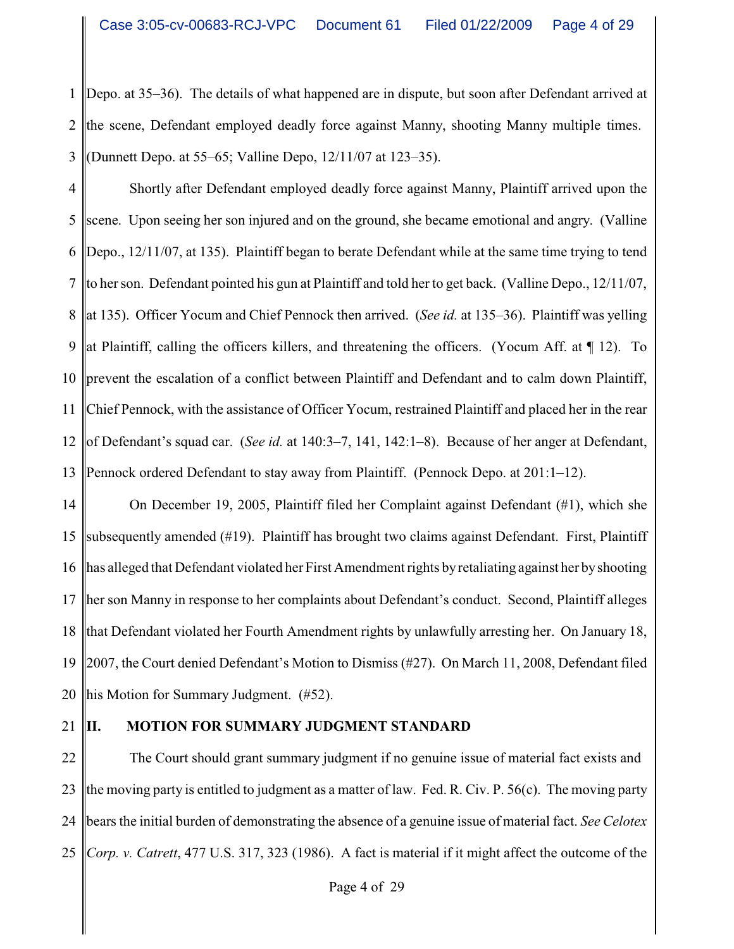1 2 3 Depo. at 35–36). The details of what happened are in dispute, but soon after Defendant arrived at the scene, Defendant employed deadly force against Manny, shooting Manny multiple times. (Dunnett Depo. at 55–65; Valline Depo, 12/11/07 at 123–35).

4 5 6 7 8 9 10 11 12 13 Shortly after Defendant employed deadly force against Manny, Plaintiff arrived upon the scene. Upon seeing her son injured and on the ground, she became emotional and angry. (Valline Depo., 12/11/07, at 135). Plaintiff began to berate Defendant while at the same time trying to tend to her son. Defendant pointed his gun at Plaintiff and told her to get back. (Valline Depo., 12/11/07, at 135). Officer Yocum and Chief Pennock then arrived. (*See id.* at 135–36). Plaintiff was yelling at Plaintiff, calling the officers killers, and threatening the officers. (Yocum Aff. at ¶ 12). To prevent the escalation of a conflict between Plaintiff and Defendant and to calm down Plaintiff, Chief Pennock, with the assistance of Officer Yocum, restrained Plaintiff and placed her in the rear of Defendant's squad car. (*See id.* at 140:3–7, 141, 142:1–8). Because of her anger at Defendant, Pennock ordered Defendant to stay away from Plaintiff. (Pennock Depo. at 201:1–12).

14 15 16 17 18 19 20 On December 19, 2005, Plaintiff filed her Complaint against Defendant (#1), which she subsequently amended (#19). Plaintiff has brought two claims against Defendant. First, Plaintiff has alleged that Defendant violated her First Amendment rights byretaliating against her byshooting her son Manny in response to her complaints about Defendant's conduct. Second, Plaintiff alleges that Defendant violated her Fourth Amendment rights by unlawfully arresting her. On January 18, 2007, the Court denied Defendant's Motion to Dismiss (#27). On March 11, 2008, Defendant filed his Motion for Summary Judgment. (#52).

21

### **II. MOTION FOR SUMMARY JUDGMENT STANDARD**

22 23 24 25 The Court should grant summary judgment if no genuine issue of material fact exists and the moving party is entitled to judgment as a matter of law. Fed. R. Civ. P. 56(c). The moving party bears the initial burden of demonstrating the absence of a genuine issue of material fact. *See Celotex Corp. v. Catrett*, 477 U.S. 317, 323 (1986). A fact is material if it might affect the outcome of the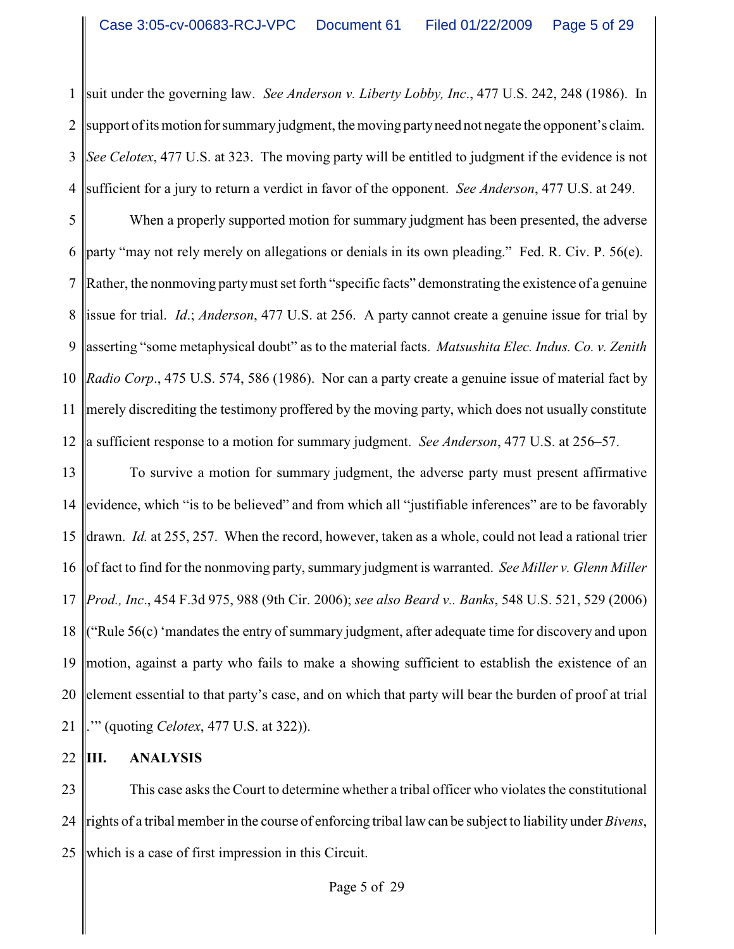1 2 3 4 suit under the governing law. *See Anderson v. Liberty Lobby, Inc*., 477 U.S. 242, 248 (1986). In support of its motion for summary judgment, the moving party need not negate the opponent's claim. *See Celotex*, 477 U.S. at 323. The moving party will be entitled to judgment if the evidence is not sufficient for a jury to return a verdict in favor of the opponent. *See Anderson*, 477 U.S. at 249.

5 6 7 8 9 10 11 12 When a properly supported motion for summary judgment has been presented, the adverse party "may not rely merely on allegations or denials in its own pleading." Fed. R. Civ. P. 56(e). Rather, the nonmoving partymust set forth "specific facts" demonstrating the existence of a genuine issue for trial. *Id*.; *Anderson*, 477 U.S. at 256. A party cannot create a genuine issue for trial by asserting "some metaphysical doubt" as to the material facts. *Matsushita Elec. Indus. Co. v. Zenith Radio Corp*., 475 U.S. 574, 586 (1986). Nor can a party create a genuine issue of material fact by merely discrediting the testimony proffered by the moving party, which does not usually constitute a sufficient response to a motion for summary judgment. *See Anderson*, 477 U.S. at 256–57.

13 14 15 16 17 18 19 20 21 To survive a motion for summary judgment, the adverse party must present affirmative evidence, which "is to be believed" and from which all "justifiable inferences" are to be favorably drawn. *Id.* at 255, 257. When the record, however, taken as a whole, could not lead a rational trier of fact to find for the nonmoving party, summary judgment is warranted. *See Miller v. Glenn Miller Prod., Inc*., 454 F.3d 975, 988 (9th Cir. 2006); *see also Beard v.. Banks*, 548 U.S. 521, 529 (2006) ("Rule 56(c) 'mandates the entry of summary judgment, after adequate time for discovery and upon motion, against a party who fails to make a showing sufficient to establish the existence of an element essential to that party's case, and on which that party will bear the burden of proof at trial .'" (quoting *Celotex*, 477 U.S. at 322)).

#### 22 **III. ANALYSIS**

23 24 25 This case asks the Court to determine whether a tribal officer who violates the constitutional rights of a tribal member in the course of enforcing tribal law can be subject to liability under *Bivens*, which is a case of first impression in this Circuit.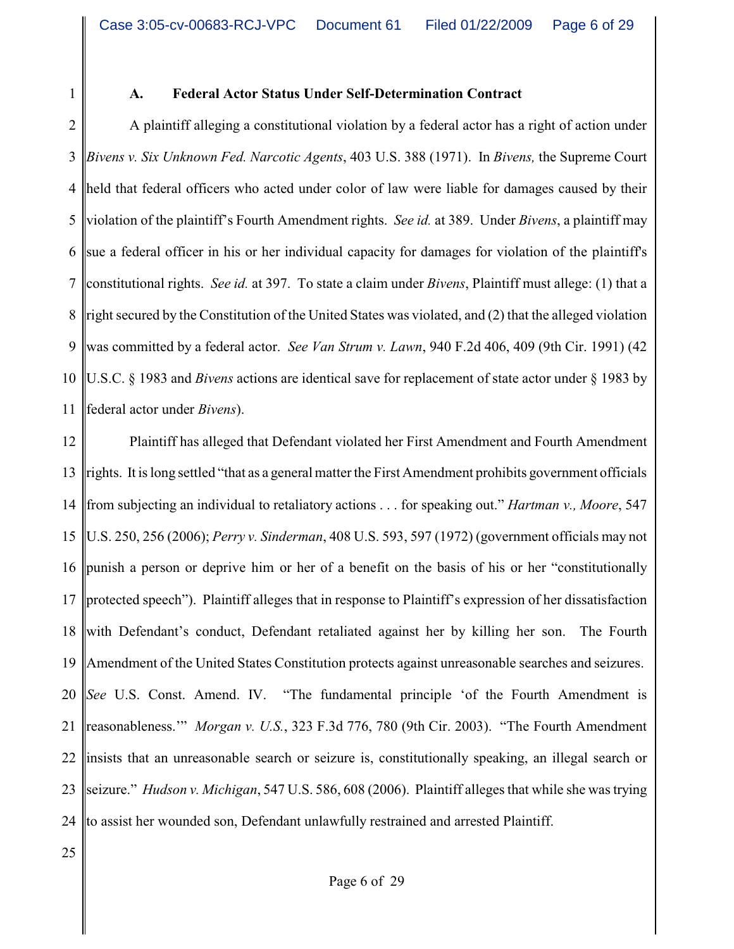1

#### **A. Federal Actor Status Under Self-Determination Contract**

2 3 4 5 6 7 8 9 10 11 A plaintiff alleging a constitutional violation by a federal actor has a right of action under *Bivens v. Six Unknown Fed. Narcotic Agents*, 403 U.S. 388 (1971). In *Bivens,* the Supreme Court held that federal officers who acted under color of law were liable for damages caused by their violation of the plaintiff's Fourth Amendment rights. *See id.* at 389. Under *Bivens*, a plaintiff may sue a federal officer in his or her individual capacity for damages for violation of the plaintiff's constitutional rights. *See id.* at 397. To state a claim under *Bivens*, Plaintiff must allege: (1) that a right secured by the Constitution of the United States was violated, and (2) that the alleged violation was committed by a federal actor. *See Van Strum v. Lawn*, 940 F.2d 406, 409 (9th Cir. 1991) (42 U.S.C. § 1983 and *Bivens* actions are identical save for replacement of state actor under § 1983 by federal actor under *Bivens*).

12 13 14 15 16 17 18 19 20 21 22 23 24 Plaintiff has alleged that Defendant violated her First Amendment and Fourth Amendment rights. It is long settled "that as a general matter the First Amendment prohibits government officials from subjecting an individual to retaliatory actions . . . for speaking out." *Hartman v., Moore*, 547 U.S. 250, 256 (2006); *Perry v. Sinderman*, 408 U.S. 593, 597 (1972) (government officials may not punish a person or deprive him or her of a benefit on the basis of his or her "constitutionally protected speech"). Plaintiff alleges that in response to Plaintiff's expression of her dissatisfaction with Defendant's conduct, Defendant retaliated against her by killing her son. The Fourth Amendment of the United States Constitution protects against unreasonable searches and seizures. *See* U.S. Const. Amend. IV. "The fundamental principle 'of the Fourth Amendment is reasonableness.'" *Morgan v. U.S.*, 323 F.3d 776, 780 (9th Cir. 2003). "The Fourth Amendment insists that an unreasonable search or seizure is, constitutionally speaking, an illegal search or seizure." *Hudson v. Michigan*, 547 U.S. 586, 608 (2006). Plaintiff alleges that while she was trying to assist her wounded son, Defendant unlawfully restrained and arrested Plaintiff.

25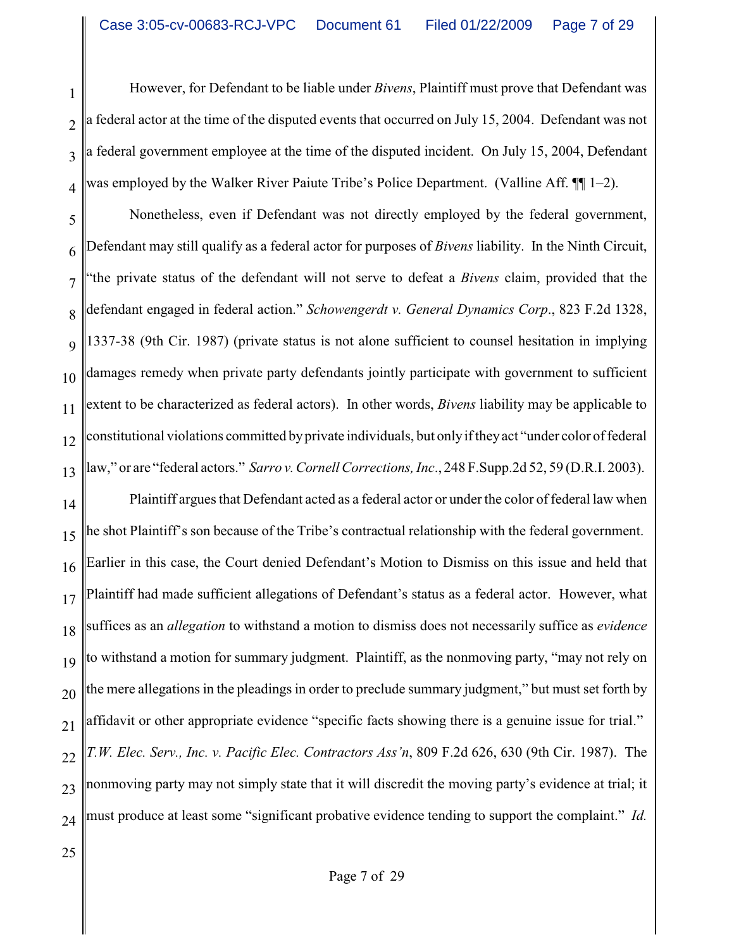1 2 3 4 However, for Defendant to be liable under *Bivens*, Plaintiff must prove that Defendant was a federal actor at the time of the disputed events that occurred on July 15, 2004. Defendant was not a federal government employee at the time of the disputed incident. On July 15, 2004, Defendant was employed by the Walker River Paiute Tribe's Police Department. (Valline Aff. ¶[1–2).

5 6 7 8 9 10 11 12 13 Nonetheless, even if Defendant was not directly employed by the federal government, Defendant may still qualify as a federal actor for purposes of *Bivens* liability. In the Ninth Circuit, "the private status of the defendant will not serve to defeat a *Bivens* claim, provided that the defendant engaged in federal action." *Schowengerdt v. General Dynamics Corp*., 823 F.2d 1328, 1337-38 (9th Cir. 1987) (private status is not alone sufficient to counsel hesitation in implying damages remedy when private party defendants jointly participate with government to sufficient extent to be characterized as federal actors). In other words, *Bivens* liability may be applicable to constitutional violations committed byprivate individuals, but onlyif theyact "under color of federal law," or are "federal actors." *Sarro v.Cornell Corrections, Inc*., 248 F.Supp.2d 52, 59 (D.R.I. 2003).

14 15 16 17 18 19 20 21 22 23 24 Plaintiff argues that Defendant acted as a federal actor or under the color of federal law when he shot Plaintiff's son because of the Tribe's contractual relationship with the federal government. Earlier in this case, the Court denied Defendant's Motion to Dismiss on this issue and held that Plaintiff had made sufficient allegations of Defendant's status as a federal actor. However, what suffices as an *allegation* to withstand a motion to dismiss does not necessarily suffice as *evidence* to withstand a motion for summary judgment. Plaintiff, as the nonmoving party, "may not rely on the mere allegations in the pleadings in order to preclude summary judgment," but must set forth by affidavit or other appropriate evidence "specific facts showing there is a genuine issue for trial." *T.W. Elec. Serv., Inc. v. Pacific Elec. Contractors Ass'n*, 809 F.2d 626, 630 (9th Cir. 1987). The nonmoving party may not simply state that it will discredit the moving party's evidence at trial; it must produce at least some "significant probative evidence tending to support the complaint." *Id.*

25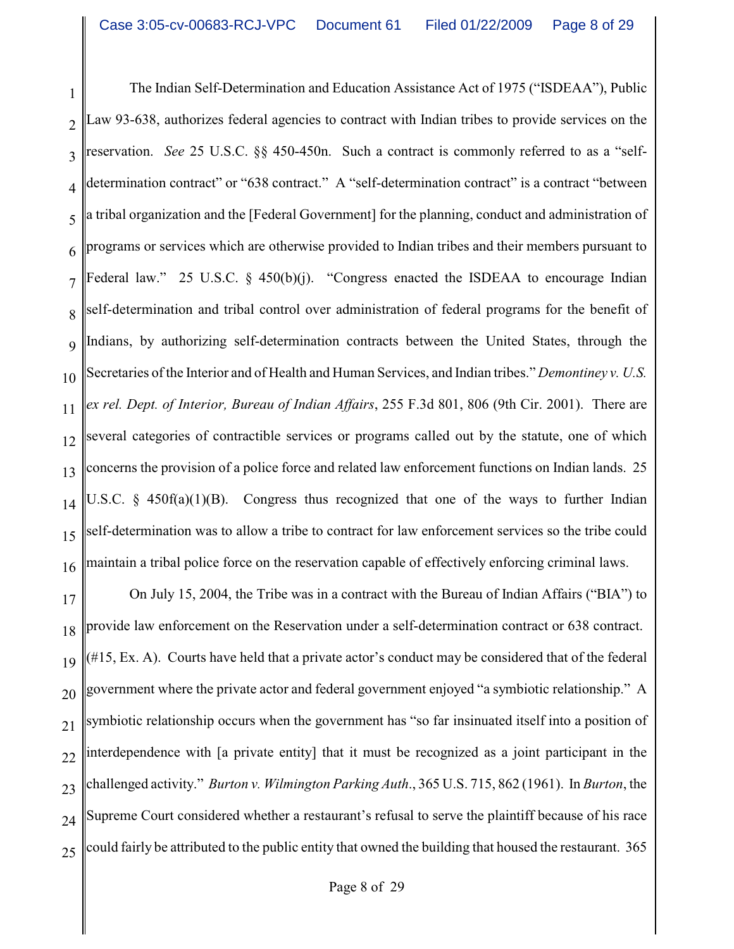1 2 3 4 5 6 7 8 9 10 11 12 13 14 15 16 The Indian Self-Determination and Education Assistance Act of 1975 ("ISDEAA"), Public Law 93-638, authorizes federal agencies to contract with Indian tribes to provide services on the reservation. *See* 25 U.S.C. §§ 450-450n. Such a contract is commonly referred to as a "selfdetermination contract" or "638 contract." A "self-determination contract" is a contract "between a tribal organization and the [Federal Government] for the planning, conduct and administration of programs or services which are otherwise provided to Indian tribes and their members pursuant to Federal law." 25 U.S.C. § 450(b)(j). "Congress enacted the ISDEAA to encourage Indian self-determination and tribal control over administration of federal programs for the benefit of Indians, by authorizing self-determination contracts between the United States, through the Secretaries of the Interior and of Health and Human Services, and Indian tribes." *Demontiney v. U.S. ex rel. Dept. of Interior, Bureau of Indian Affairs*, 255 F.3d 801, 806 (9th Cir. 2001). There are several categories of contractible services or programs called out by the statute, one of which concerns the provision of a police force and related law enforcement functions on Indian lands. 25 U.S.C. § 450f(a)(1)(B). Congress thus recognized that one of the ways to further Indian self-determination was to allow a tribe to contract for law enforcement services so the tribe could maintain a tribal police force on the reservation capable of effectively enforcing criminal laws.

17 18 19 20 21 22 23 24 25 On July 15, 2004, the Tribe was in a contract with the Bureau of Indian Affairs ("BIA") to provide law enforcement on the Reservation under a self-determination contract or 638 contract. (#15, Ex. A). Courts have held that a private actor's conduct may be considered that of the federal government where the private actor and federal government enjoyed "a symbiotic relationship." A symbiotic relationship occurs when the government has "so far insinuated itself into a position of interdependence with [a private entity] that it must be recognized as a joint participant in the challenged activity." *Burton v. Wilmington Parking Auth*., 365 U.S. 715, 862 (1961). In *Burton*, the Supreme Court considered whether a restaurant's refusal to serve the plaintiff because of his race could fairly be attributed to the public entity that owned the building that housed the restaurant. 365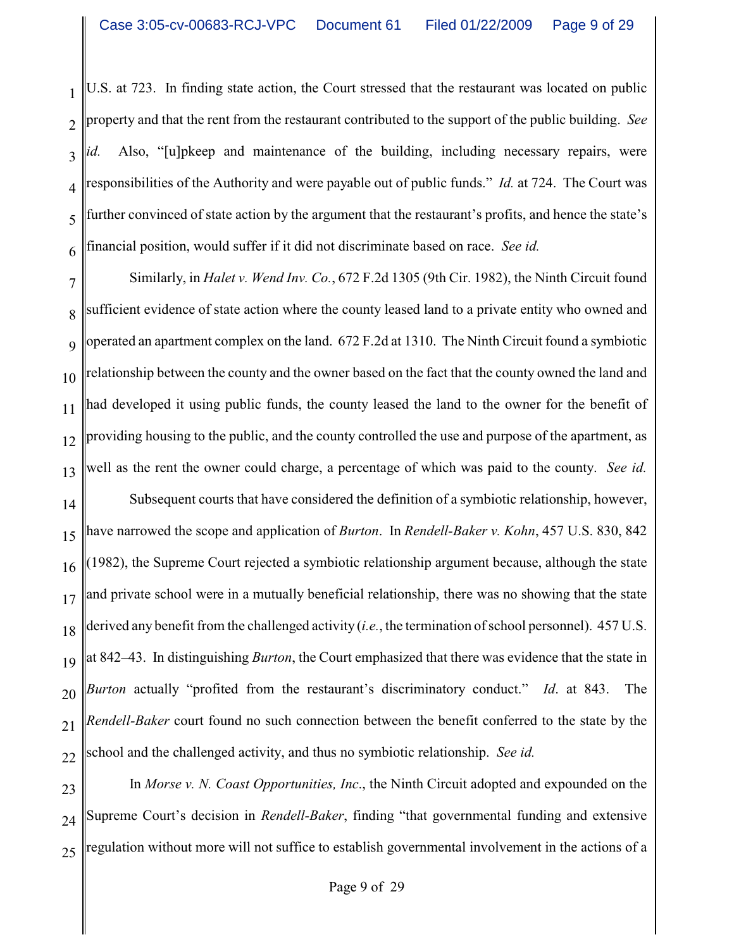1 2 3 4 5 6 U.S. at 723. In finding state action, the Court stressed that the restaurant was located on public property and that the rent from the restaurant contributed to the support of the public building. *See id.* Also, "[u]pkeep and maintenance of the building, including necessary repairs, were responsibilities of the Authority and were payable out of public funds." *Id.* at 724. The Court was further convinced of state action by the argument that the restaurant's profits, and hence the state's financial position, would suffer if it did not discriminate based on race. *See id.*

7 8 9 10 11 12 13 14 15 16 17 18 19 20 21 22 Similarly, in *Halet v. Wend Inv. Co.*, 672 F.2d 1305 (9th Cir. 1982), the Ninth Circuit found sufficient evidence of state action where the county leased land to a private entity who owned and operated an apartment complex on the land. 672 F.2d at 1310. The Ninth Circuit found a symbiotic relationship between the county and the owner based on the fact that the county owned the land and had developed it using public funds, the county leased the land to the owner for the benefit of providing housing to the public, and the county controlled the use and purpose of the apartment, as well as the rent the owner could charge, a percentage of which was paid to the county. *See id.* Subsequent courts that have considered the definition of a symbiotic relationship, however, have narrowed the scope and application of *Burton*. In *Rendell-Baker v. Kohn*, 457 U.S. 830, 842 (1982), the Supreme Court rejected a symbiotic relationship argument because, although the state and private school were in a mutually beneficial relationship, there was no showing that the state derived any benefit from the challenged activity (*i.e.*, the termination of school personnel). 457 U.S. at 842–43. In distinguishing *Burton*, the Court emphasized that there was evidence that the state in *Burton* actually "profited from the restaurant's discriminatory conduct." *Id*. at 843. The *Rendell-Baker* court found no such connection between the benefit conferred to the state by the school and the challenged activity, and thus no symbiotic relationship. *See id.* 

23 24 25 In *Morse v. N. Coast Opportunities, Inc*., the Ninth Circuit adopted and expounded on the Supreme Court's decision in *Rendell-Baker*, finding "that governmental funding and extensive regulation without more will not suffice to establish governmental involvement in the actions of a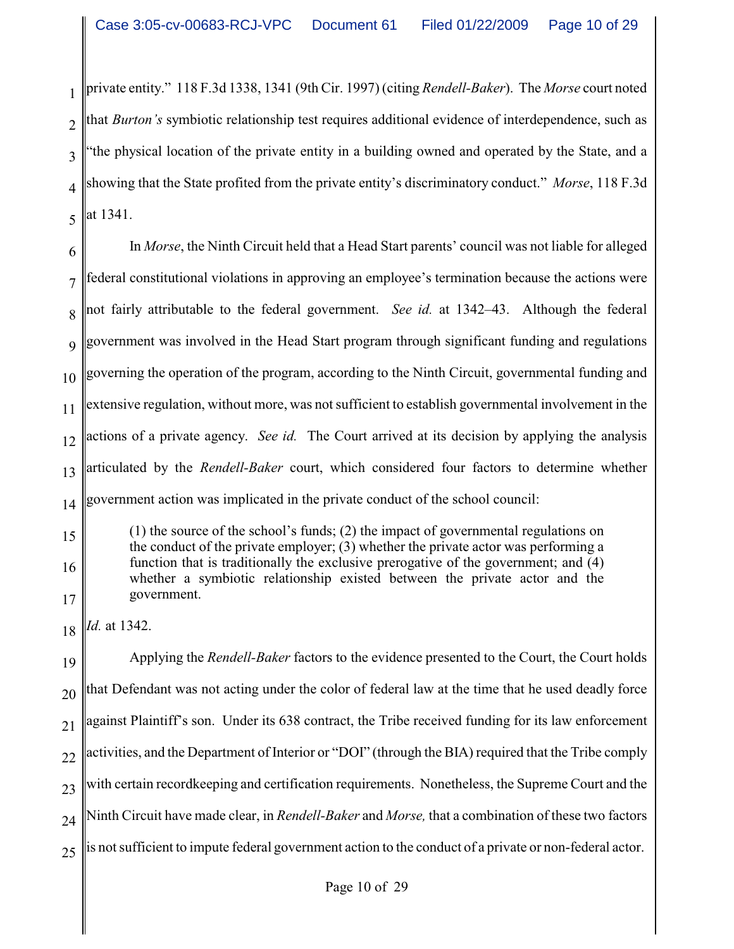1 2 3 4 5 private entity." 118 F.3d 1338, 1341 (9th Cir. 1997) (citing *Rendell-Baker*). The *Morse* court noted that *Burton's* symbiotic relationship test requires additional evidence of interdependence, such as "the physical location of the private entity in a building owned and operated by the State, and a showing that the State profited from the private entity's discriminatory conduct." *Morse*, 118 F.3d at 1341.

6 7 8 9 10 11 12 13 14 In *Morse*, the Ninth Circuit held that a Head Start parents' council was not liable for alleged federal constitutional violations in approving an employee's termination because the actions were not fairly attributable to the federal government. *See id.* at 1342–43. Although the federal government was involved in the Head Start program through significant funding and regulations governing the operation of the program, according to the Ninth Circuit, governmental funding and extensive regulation, without more, was not sufficient to establish governmental involvement in the actions of a private agency. *See id.* The Court arrived at its decision by applying the analysis articulated by the *Rendell-Baker* court, which considered four factors to determine whether government action was implicated in the private conduct of the school council:

15 16 17 (1) the source of the school's funds; (2) the impact of governmental regulations on the conduct of the private employer; (3) whether the private actor was performing a function that is traditionally the exclusive prerogative of the government; and (4) whether a symbiotic relationship existed between the private actor and the government.

18 *Id.* at 1342.

19 20 21 22 23 24 25 Applying the *Rendell-Baker* factors to the evidence presented to the Court, the Court holds that Defendant was not acting under the color of federal law at the time that he used deadly force against Plaintiff's son. Under its 638 contract, the Tribe received funding for its law enforcement activities, and the Department of Interior or "DOI" (through the BIA) required that the Tribe comply with certain recordkeeping and certification requirements. Nonetheless, the Supreme Court and the Ninth Circuit have made clear, in *Rendell-Baker* and *Morse,* that a combination of these two factors is not sufficient to impute federal government action to the conduct of a private or non-federal actor.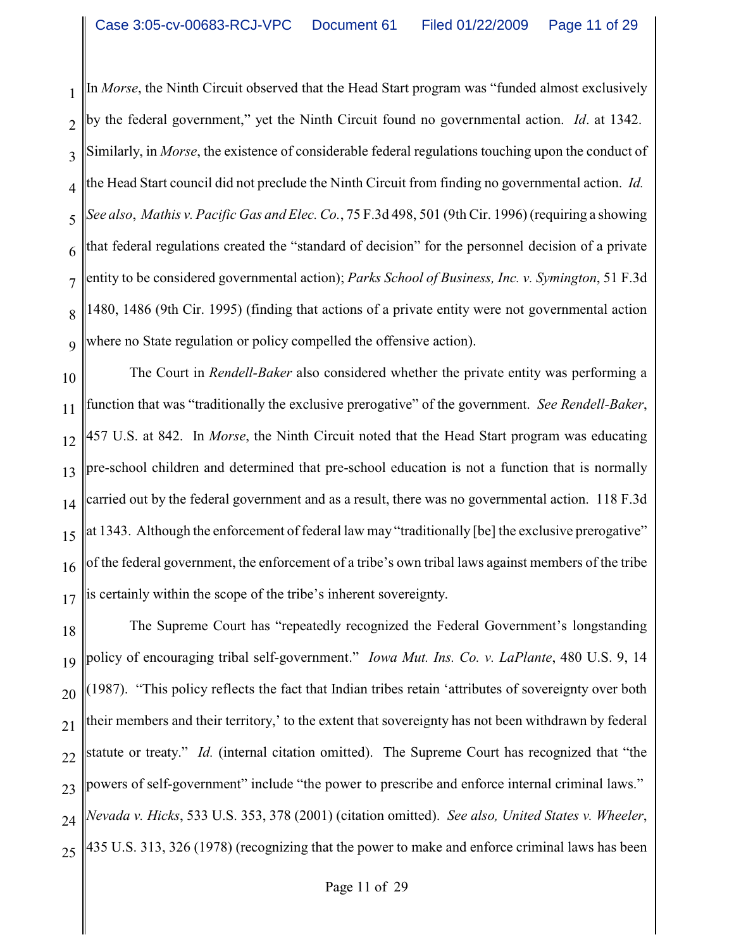1  $\mathcal{D}_{\mathcal{L}}$ 3 4 5 6 7 8 9 In *Morse*, the Ninth Circuit observed that the Head Start program was "funded almost exclusively by the federal government," yet the Ninth Circuit found no governmental action. *Id*. at 1342. Similarly, in *Morse*, the existence of considerable federal regulations touching upon the conduct of the Head Start council did not preclude the Ninth Circuit from finding no governmental action. *Id. See also*, *Mathis v. Pacific Gas and Elec. Co.*, 75 F.3d 498, 501 (9th Cir. 1996) (requiring a showing that federal regulations created the "standard of decision" for the personnel decision of a private entity to be considered governmental action); *Parks School of Business, Inc. v. Symington*, 51 F.3d 1480, 1486 (9th Cir. 1995) (finding that actions of a private entity were not governmental action where no State regulation or policy compelled the offensive action).

10 11 12 13 14 15 16 17 The Court in *Rendell-Baker* also considered whether the private entity was performing a function that was "traditionally the exclusive prerogative" of the government. *See Rendell-Baker*, 457 U.S. at 842. In *Morse*, the Ninth Circuit noted that the Head Start program was educating pre-school children and determined that pre-school education is not a function that is normally carried out by the federal government and as a result, there was no governmental action. 118 F.3d at 1343. Although the enforcement of federal law may "traditionally [be] the exclusive prerogative" of the federal government, the enforcement of a tribe's own tribal laws against members of the tribe is certainly within the scope of the tribe's inherent sovereignty.

18 19 20 21 22 23 24 25 The Supreme Court has "repeatedly recognized the Federal Government's longstanding policy of encouraging tribal self-government." *Iowa Mut. Ins. Co. v. LaPlante*, 480 U.S. 9, 14 (1987). "This policy reflects the fact that Indian tribes retain 'attributes of sovereignty over both their members and their territory,' to the extent that sovereignty has not been withdrawn by federal statute or treaty." *Id.* (internal citation omitted). The Supreme Court has recognized that "the powers of self-government" include "the power to prescribe and enforce internal criminal laws." *Nevada v. Hicks*, 533 U.S. 353, 378 (2001) (citation omitted). *See also, United States v. Wheeler*, 435 U.S. 313, 326 (1978) (recognizing that the power to make and enforce criminal laws has been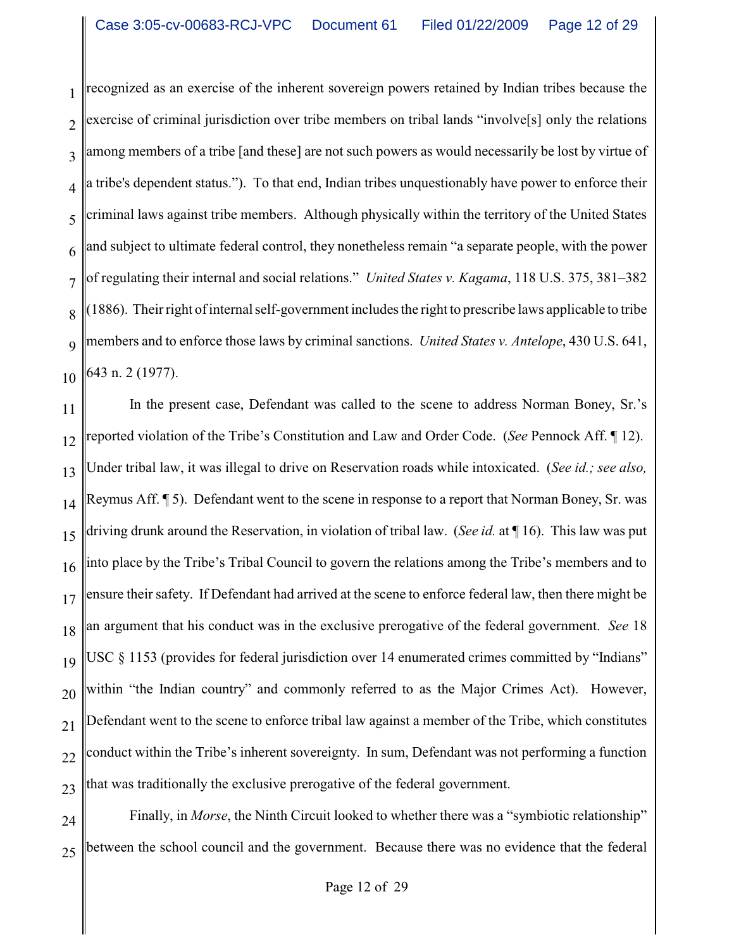1 2 3 4 5 6 7 8 9 10 recognized as an exercise of the inherent sovereign powers retained by Indian tribes because the exercise of criminal jurisdiction over tribe members on tribal lands "involve<sup>[5]</sup> only the relations among members of a tribe [and these] are not such powers as would necessarily be lost by virtue of a tribe's dependent status."). To that end, Indian tribes unquestionably have power to enforce their criminal laws against tribe members. Although physically within the territory of the United States and subject to ultimate federal control, they nonetheless remain "a separate people, with the power of regulating their internal and social relations." *United States v. Kagama*, 118 U.S. 375, 381–382 (1886). Their right of internal self-government includes the right to prescribe laws applicable to tribe members and to enforce those laws by criminal sanctions. *United States v. Antelope*, 430 U.S. 641, 643 n. 2 (1977).

11 12 13 14 15 16 17 18 19 20 21 22 23 In the present case, Defendant was called to the scene to address Norman Boney, Sr.'s reported violation of the Tribe's Constitution and Law and Order Code. (*See* Pennock Aff. ¶ 12). Under tribal law, it was illegal to drive on Reservation roads while intoxicated. (*See id.; see also,* Reymus Aff. ¶ 5). Defendant went to the scene in response to a report that Norman Boney, Sr. was driving drunk around the Reservation, in violation of tribal law. (*See id.* at ¶ 16). This law was put into place by the Tribe's Tribal Council to govern the relations among the Tribe's members and to ensure their safety. If Defendant had arrived at the scene to enforce federal law, then there might be an argument that his conduct was in the exclusive prerogative of the federal government. *See* 18 USC § 1153 (provides for federal jurisdiction over 14 enumerated crimes committed by "Indians" within "the Indian country" and commonly referred to as the Major Crimes Act). However, Defendant went to the scene to enforce tribal law against a member of the Tribe, which constitutes conduct within the Tribe's inherent sovereignty. In sum, Defendant was not performing a function that was traditionally the exclusive prerogative of the federal government.

24 25 Finally, in *Morse*, the Ninth Circuit looked to whether there was a "symbiotic relationship" between the school council and the government. Because there was no evidence that the federal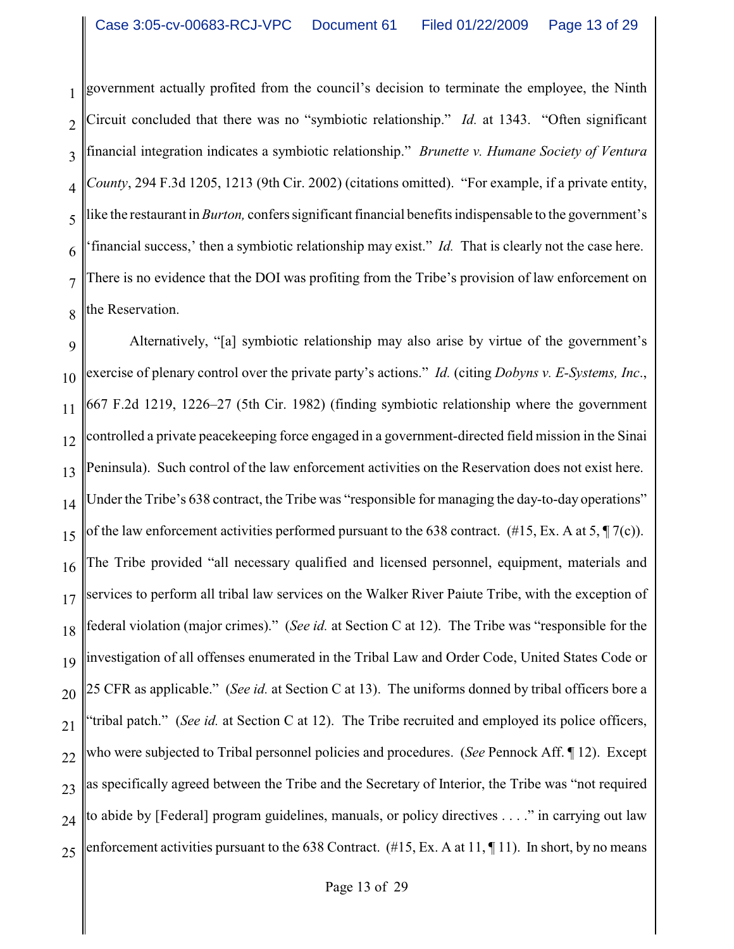1 2 3 4 5 6 7 8 government actually profited from the council's decision to terminate the employee, the Ninth Circuit concluded that there was no "symbiotic relationship." *Id.* at 1343. "Often significant financial integration indicates a symbiotic relationship." *Brunette v. Humane Society of Ventura County*, 294 F.3d 1205, 1213 (9th Cir. 2002) (citations omitted). "For example, if a private entity, like the restaurant in*Burton,* confers significant financial benefits indispensable to the government's 'financial success,' then a symbiotic relationship may exist." *Id.* That is clearly not the case here. There is no evidence that the DOI was profiting from the Tribe's provision of law enforcement on the Reservation.

9 10 11 12 13 14 15 16 17 18 19 20 21 22 23 24 25 Alternatively, "[a] symbiotic relationship may also arise by virtue of the government's exercise of plenary control over the private party's actions." *Id.* (citing *Dobyns v. E-Systems, Inc*., 667 F.2d 1219, 1226–27 (5th Cir. 1982) (finding symbiotic relationship where the government controlled a private peacekeeping force engaged in a government-directed field mission in the Sinai Peninsula). Such control of the law enforcement activities on the Reservation does not exist here. Under the Tribe's 638 contract, the Tribe was "responsible for managing the day-to-day operations" of the law enforcement activities performed pursuant to the 638 contract.  $(\#15, \text{Ex. A at } 5, \P \, 7(c))$ . The Tribe provided "all necessary qualified and licensed personnel, equipment, materials and services to perform all tribal law services on the Walker River Paiute Tribe, with the exception of federal violation (major crimes)." (*See id.* at Section C at 12). The Tribe was "responsible for the investigation of all offenses enumerated in the Tribal Law and Order Code, United States Code or 25 CFR as applicable." (*See id.* at Section C at 13). The uniforms donned by tribal officers bore a "tribal patch." (*See id.* at Section C at 12). The Tribe recruited and employed its police officers, who were subjected to Tribal personnel policies and procedures. (*See* Pennock Aff. ¶ 12). Except as specifically agreed between the Tribe and the Secretary of Interior, the Tribe was "not required to abide by [Federal] program guidelines, manuals, or policy directives . . . ." in carrying out law enforcement activities pursuant to the 638 Contract. (#15, Ex. A at 11, ¶ 11). In short, by no means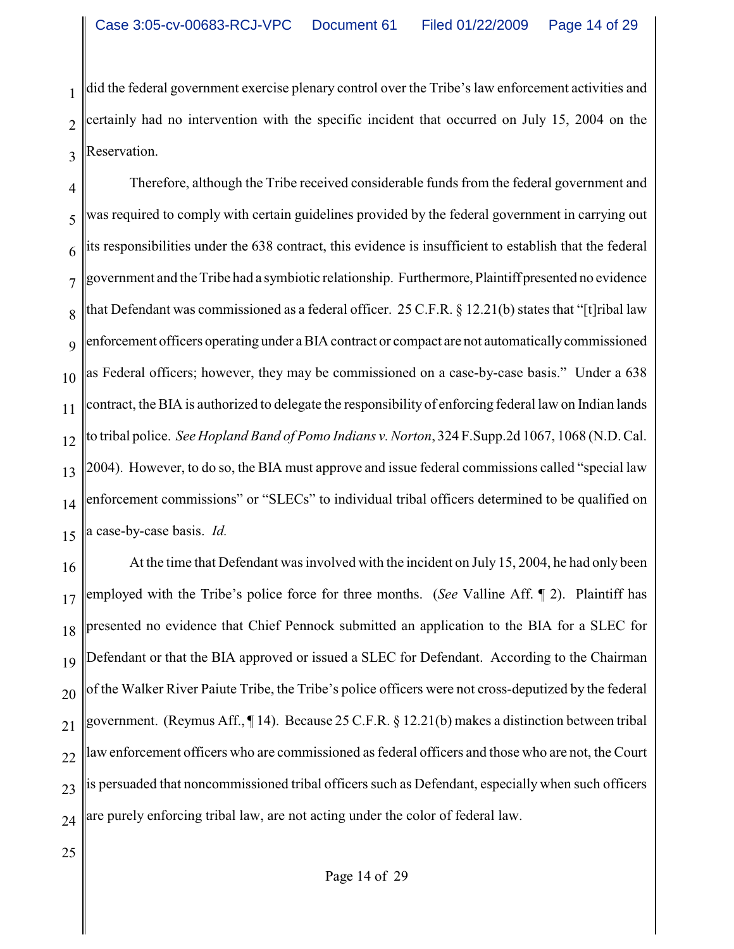1 2 3 did the federal government exercise plenary control over the Tribe's law enforcement activities and certainly had no intervention with the specific incident that occurred on July 15, 2004 on the Reservation.

4 5 6 7 8 9 10 11 12 13 14 15 Therefore, although the Tribe received considerable funds from the federal government and was required to comply with certain guidelines provided by the federal government in carrying out its responsibilities under the 638 contract, this evidence is insufficient to establish that the federal government and the Tribe had a symbiotic relationship. Furthermore, Plaintiff presented no evidence that Defendant was commissioned as a federal officer. 25 C.F.R. § 12.21(b) states that "[t]ribal law enforcement officers operating under a BIA contract or compact are not automaticallycommissioned as Federal officers; however, they may be commissioned on a case-by-case basis." Under a 638 contract, the BIA is authorized to delegate the responsibility of enforcing federal law on Indian lands to tribal police. *See Hopland Band of Pomo Indians v. Norton*, 324 F.Supp.2d 1067, 1068 (N.D. Cal. 2004). However, to do so, the BIA must approve and issue federal commissions called "special law enforcement commissions" or "SLECs" to individual tribal officers determined to be qualified on a case-by-case basis. *Id.*

16 17 18 19 20 21 22 23 24 At the time that Defendant was involved with the incident on July 15, 2004, he had only been employed with the Tribe's police force for three months. (*See* Valline Aff. ¶ 2). Plaintiff has presented no evidence that Chief Pennock submitted an application to the BIA for a SLEC for Defendant or that the BIA approved or issued a SLEC for Defendant. According to the Chairman of the Walker River Paiute Tribe, the Tribe's police officers were not cross-deputized by the federal government. (Reymus Aff., ¶ 14). Because 25 C.F.R. § 12.21(b) makes a distinction between tribal law enforcement officers who are commissioned as federal officers and those who are not, the Court is persuaded that noncommissioned tribal officers such as Defendant, especially when such officers are purely enforcing tribal law, are not acting under the color of federal law.

25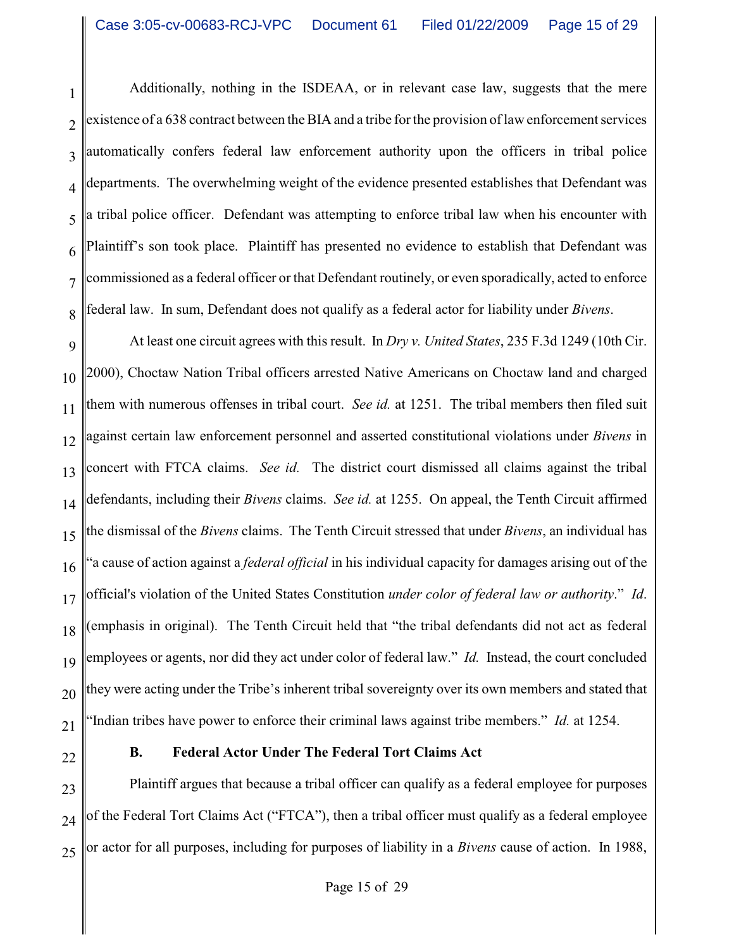1 2 3 4 5 6 7 8 Additionally, nothing in the ISDEAA, or in relevant case law, suggests that the mere existence of a 638 contract between the BIA and a tribe for the provision of law enforcement services automatically confers federal law enforcement authority upon the officers in tribal police departments. The overwhelming weight of the evidence presented establishes that Defendant was a tribal police officer. Defendant was attempting to enforce tribal law when his encounter with Plaintiff's son took place. Plaintiff has presented no evidence to establish that Defendant was commissioned as a federal officer or that Defendant routinely, or even sporadically, acted to enforce federal law. In sum, Defendant does not qualify as a federal actor for liability under *Bivens*.

9 10 11 12 13 14 15 16 17 18 19 20 21 At least one circuit agrees with this result. In *Dry v. United States*, 235 F.3d 1249 (10th Cir. 2000), Choctaw Nation Tribal officers arrested Native Americans on Choctaw land and charged them with numerous offenses in tribal court. *See id.* at 1251. The tribal members then filed suit against certain law enforcement personnel and asserted constitutional violations under *Bivens* in concert with FTCA claims. *See id.* The district court dismissed all claims against the tribal defendants, including their *Bivens* claims. *See id.* at 1255. On appeal, the Tenth Circuit affirmed the dismissal of the *Bivens* claims. The Tenth Circuit stressed that under *Bivens*, an individual has "a cause of action against a *federal official* in his individual capacity for damages arising out of the official's violation of the United States Constitution *under color of federal law or authority*." *Id*. (emphasis in original). The Tenth Circuit held that "the tribal defendants did not act as federal employees or agents, nor did they act under color of federal law." *Id.* Instead, the court concluded they were acting under the Tribe's inherent tribal sovereignty over its own members and stated that "Indian tribes have power to enforce their criminal laws against tribe members." *Id.* at 1254.

22

# **B. Federal Actor Under The Federal Tort Claims Act**

23 24 25 Plaintiff argues that because a tribal officer can qualify as a federal employee for purposes of the Federal Tort Claims Act ("FTCA"), then a tribal officer must qualify as a federal employee or actor for all purposes, including for purposes of liability in a *Bivens* cause of action. In 1988,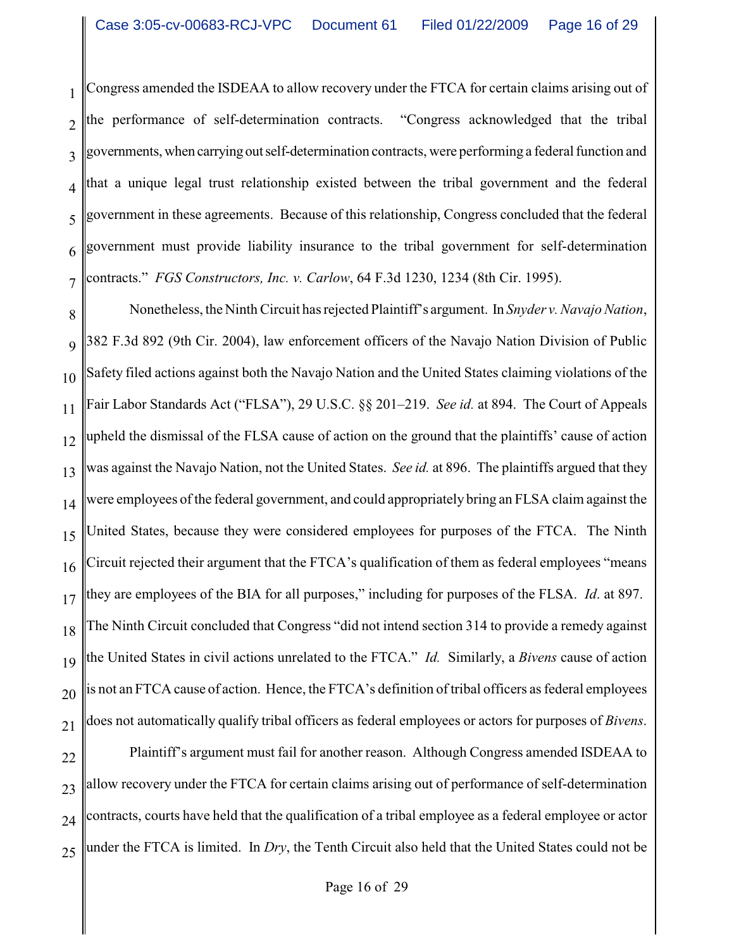1 2 3 4 5 6 7 Congress amended the ISDEAA to allow recovery under the FTCA for certain claims arising out of the performance of self-determination contracts. "Congress acknowledged that the tribal governments, when carrying out self-determination contracts, were performing a federal function and that a unique legal trust relationship existed between the tribal government and the federal government in these agreements. Because of this relationship, Congress concluded that the federal government must provide liability insurance to the tribal government for self-determination contracts." *FGS Constructors, Inc. v. Carlow*, 64 F.3d 1230, 1234 (8th Cir. 1995).

8 9 10 11 12 13 14 15 16 17 18 19 20 21 Nonetheless, the Ninth Circuit has rejected Plaintiff's argument. In *Snyder v. Navajo Nation*, 382 F.3d 892 (9th Cir. 2004), law enforcement officers of the Navajo Nation Division of Public Safety filed actions against both the Navajo Nation and the United States claiming violations of the Fair Labor Standards Act ("FLSA"), 29 U.S.C. §§ 201–219. *See id.* at 894. The Court of Appeals upheld the dismissal of the FLSA cause of action on the ground that the plaintiffs' cause of action was against the Navajo Nation, not the United States. *See id.* at 896. The plaintiffs argued that they were employees of the federal government, and could appropriately bring an FLSA claim against the United States, because they were considered employees for purposes of the FTCA. The Ninth Circuit rejected their argument that the FTCA's qualification of them as federal employees "means they are employees of the BIA for all purposes," including for purposes of the FLSA. *Id*. at 897. The Ninth Circuit concluded that Congress "did not intend section 314 to provide a remedy against the United States in civil actions unrelated to the FTCA." *Id.* Similarly, a *Bivens* cause of action is not an FTCA cause of action. Hence, the FTCA's definition of tribal officers as federal employees does not automatically qualify tribal officers as federal employees or actors for purposes of *Bivens*.

22 23 24 25 Plaintiff's argument must fail for another reason. Although Congress amended ISDEAA to allow recovery under the FTCA for certain claims arising out of performance of self-determination contracts, courts have held that the qualification of a tribal employee as a federal employee or actor under the FTCA is limited. In *Dry*, the Tenth Circuit also held that the United States could not be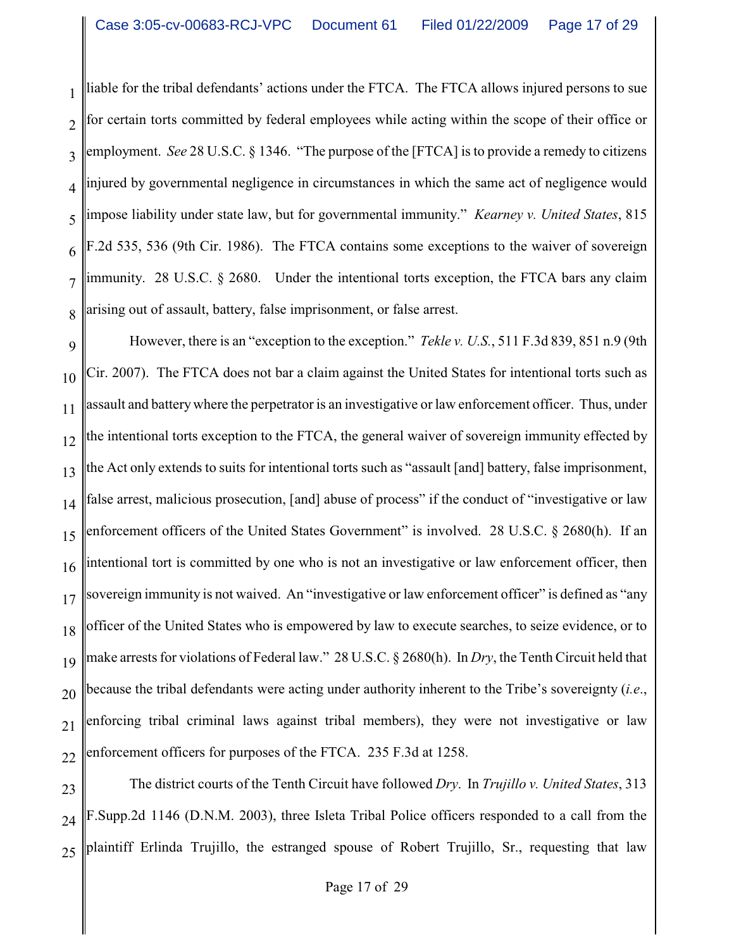1 2 3 4 5 6 7 8 liable for the tribal defendants' actions under the FTCA. The FTCA allows injured persons to sue for certain torts committed by federal employees while acting within the scope of their office or employment. *See* 28 U.S.C. § 1346. "The purpose of the [FTCA] is to provide a remedy to citizens injured by governmental negligence in circumstances in which the same act of negligence would impose liability under state law, but for governmental immunity." *Kearney v. United States*, 815 F.2d 535, 536 (9th Cir. 1986). The FTCA contains some exceptions to the waiver of sovereign immunity. 28 U.S.C.  $\S$  2680. Under the intentional torts exception, the FTCA bars any claim arising out of assault, battery, false imprisonment, or false arrest.

9 10 11 12 13 14 15 16 17 18 19 20 21 22 However, there is an "exception to the exception." *Tekle v. U.S.*, 511 F.3d 839, 851 n.9 (9th Cir. 2007). The FTCA does not bar a claim against the United States for intentional torts such as assault and batterywhere the perpetrator is an investigative or law enforcement officer. Thus, under the intentional torts exception to the FTCA, the general waiver of sovereign immunity effected by the Act only extends to suits for intentional torts such as "assault [and] battery, false imprisonment, false arrest, malicious prosecution, [and] abuse of process" if the conduct of "investigative or law enforcement officers of the United States Government" is involved. 28 U.S.C. § 2680(h). If an intentional tort is committed by one who is not an investigative or law enforcement officer, then sovereign immunity is not waived. An "investigative or law enforcement officer" is defined as "any officer of the United States who is empowered by law to execute searches, to seize evidence, or to make arrests for violations of Federal law." 28 U.S.C. § 2680(h). In *Dry*, the Tenth Circuit held that because the tribal defendants were acting under authority inherent to the Tribe's sovereignty (*i.e*., enforcing tribal criminal laws against tribal members), they were not investigative or law enforcement officers for purposes of the FTCA. 235 F.3d at 1258.

23 24 25 The district courts of the Tenth Circuit have followed *Dry*. In *Trujillo v. United States*, 313 F.Supp.2d 1146 (D.N.M. 2003), three Isleta Tribal Police officers responded to a call from the plaintiff Erlinda Trujillo, the estranged spouse of Robert Trujillo, Sr., requesting that law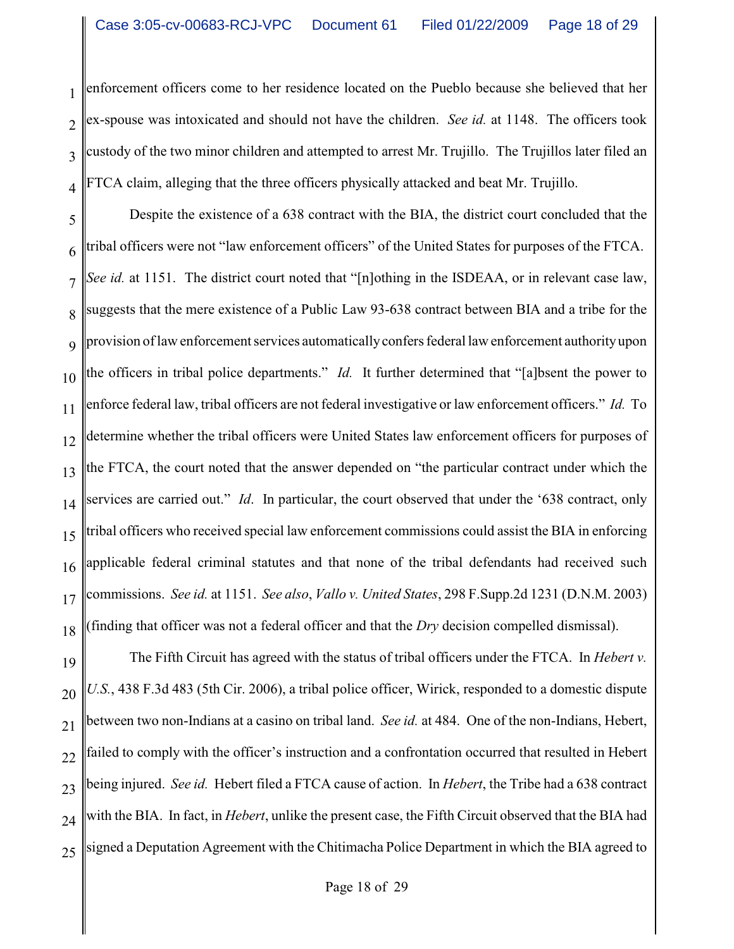1 2 3 4 enforcement officers come to her residence located on the Pueblo because she believed that her ex-spouse was intoxicated and should not have the children. *See id.* at 1148. The officers took custody of the two minor children and attempted to arrest Mr. Trujillo. The Trujillos later filed an FTCA claim, alleging that the three officers physically attacked and beat Mr. Trujillo.

5 6 7 8 9 10 11 12 13 14 15 16 17 18 Despite the existence of a 638 contract with the BIA, the district court concluded that the tribal officers were not "law enforcement officers" of the United States for purposes of the FTCA. *See id.* at 1151. The district court noted that "[n]othing in the ISDEAA, or in relevant case law, suggests that the mere existence of a Public Law 93-638 contract between BIA and a tribe for the provision of law enforcement services automaticallyconfers federal law enforcement authorityupon the officers in tribal police departments." *Id.* It further determined that "[a]bsent the power to enforce federal law, tribal officers are not federal investigative or law enforcement officers." *Id.* To determine whether the tribal officers were United States law enforcement officers for purposes of the FTCA, the court noted that the answer depended on "the particular contract under which the services are carried out." *Id*. In particular, the court observed that under the '638 contract, only tribal officers who received special law enforcement commissions could assist the BIA in enforcing applicable federal criminal statutes and that none of the tribal defendants had received such commissions. *See id.* at 1151. *See also*, *Vallo v. United States*, 298 F.Supp.2d 1231 (D.N.M. 2003) (finding that officer was not a federal officer and that the *Dry* decision compelled dismissal).

19 20 21 22 23 24 25 The Fifth Circuit has agreed with the status of tribal officers under the FTCA. In *Hebert v. U.S.*, 438 F.3d 483 (5th Cir. 2006), a tribal police officer, Wirick, responded to a domestic dispute between two non-Indians at a casino on tribal land. *See id.* at 484. One of the non-Indians, Hebert, failed to comply with the officer's instruction and a confrontation occurred that resulted in Hebert being injured. *See id.* Hebert filed a FTCA cause of action. In *Hebert*, the Tribe had a 638 contract with the BIA. In fact, in *Hebert*, unlike the present case, the Fifth Circuit observed that the BIA had signed a Deputation Agreement with the Chitimacha Police Department in which the BIA agreed to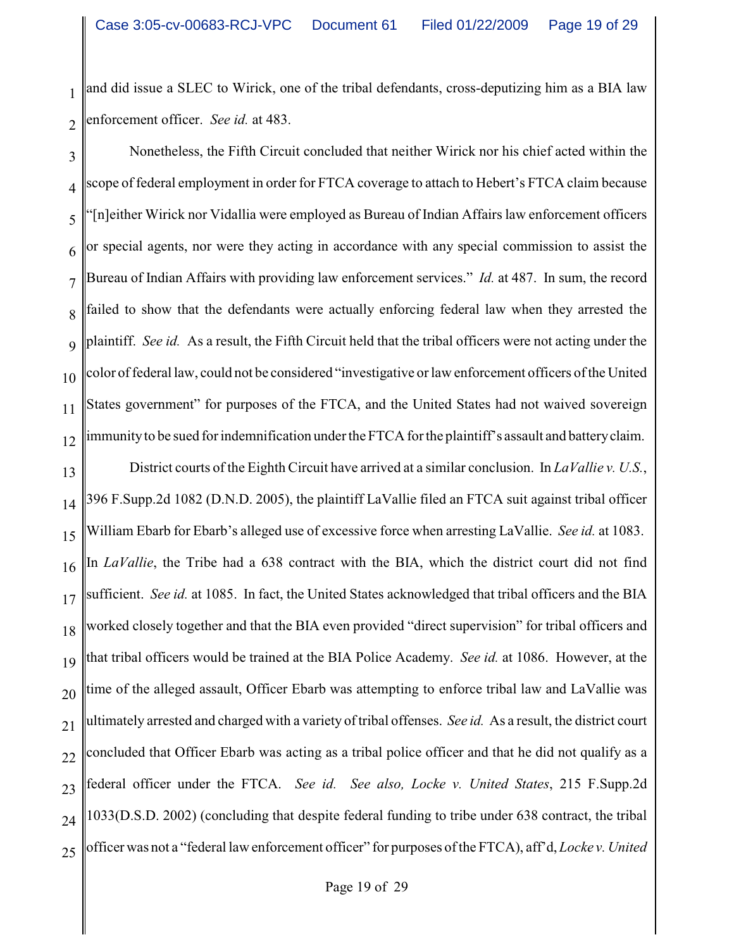1 2 and did issue a SLEC to Wirick, one of the tribal defendants, cross-deputizing him as a BIA law enforcement officer. *See id.* at 483.

3 4 5 6 7 8 9 10 11 12 Nonetheless, the Fifth Circuit concluded that neither Wirick nor his chief acted within the scope of federal employment in order for FTCA coverage to attach to Hebert's FTCA claim because "[n]either Wirick nor Vidallia were employed as Bureau of Indian Affairs law enforcement officers or special agents, nor were they acting in accordance with any special commission to assist the Bureau of Indian Affairs with providing law enforcement services." *Id.* at 487. In sum, the record failed to show that the defendants were actually enforcing federal law when they arrested the plaintiff. *See id.* As a result, the Fifth Circuit held that the tribal officers were not acting under the color of federal law, could not be considered "investigative or law enforcement officers of the United States government" for purposes of the FTCA, and the United States had not waived sovereign immunityto be sued for indemnification under the FTCA for the plaintiff's assault and batteryclaim.

13 14 15 16 17 18 19 20 21 22 23 24 25 District courts of the Eighth Circuit have arrived at a similar conclusion. In *LaVallie v. U.S.*, 396 F.Supp.2d 1082 (D.N.D. 2005), the plaintiff LaVallie filed an FTCA suit against tribal officer William Ebarb for Ebarb's alleged use of excessive force when arresting LaVallie. *See id.* at 1083. In *LaVallie*, the Tribe had a 638 contract with the BIA, which the district court did not find sufficient. *See id.* at 1085. In fact, the United States acknowledged that tribal officers and the BIA worked closely together and that the BIA even provided "direct supervision" for tribal officers and that tribal officers would be trained at the BIA Police Academy. *See id.* at 1086. However, at the time of the alleged assault, Officer Ebarb was attempting to enforce tribal law and LaVallie was ultimately arrested and charged with a variety of tribal offenses. *See id.* As a result, the district court concluded that Officer Ebarb was acting as a tribal police officer and that he did not qualify as a federal officer under the FTCA. *See id. See also, Locke v. United States*, 215 F.Supp.2d 1033(D.S.D. 2002) (concluding that despite federal funding to tribe under 638 contract, the tribal officer was not a "federal law enforcement officer" for purposes of the FTCA), aff'd, *Locke v. United*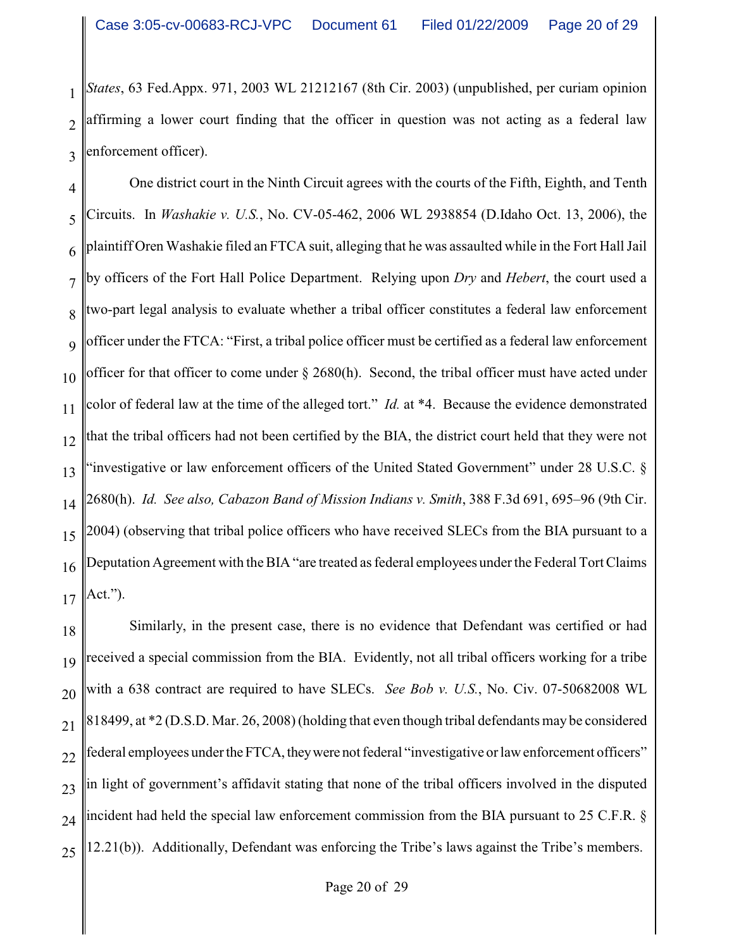1 2 3 *States*, 63 Fed.Appx. 971, 2003 WL 21212167 (8th Cir. 2003) (unpublished, per curiam opinion affirming a lower court finding that the officer in question was not acting as a federal law enforcement officer).

4 5 6 7 8 9 10 11 12 13 14 15 16 17 One district court in the Ninth Circuit agrees with the courts of the Fifth, Eighth, and Tenth Circuits. In *Washakie v. U.S.*, No. CV-05-462, 2006 WL 2938854 (D.Idaho Oct. 13, 2006), the plaintiff Oren Washakie filed an FTCA suit, alleging that he was assaulted while in the Fort Hall Jail by officers of the Fort Hall Police Department. Relying upon *Dry* and *Hebert*, the court used a two-part legal analysis to evaluate whether a tribal officer constitutes a federal law enforcement officer under the FTCA: "First, a tribal police officer must be certified as a federal law enforcement officer for that officer to come under § 2680(h). Second, the tribal officer must have acted under color of federal law at the time of the alleged tort." *Id.* at \*4. Because the evidence demonstrated that the tribal officers had not been certified by the BIA, the district court held that they were not 'investigative or law enforcement officers of the United Stated Government" under 28 U.S.C. § 2680(h). *Id. See also, Cabazon Band of Mission Indians v. Smith*, 388 F.3d 691, 695–96 (9th Cir. 2004) (observing that tribal police officers who have received SLECs from the BIA pursuant to a Deputation Agreement with the BIA "are treated as federal employees under the Federal Tort Claims Act.").

18 19 20 21 22 23 24 25 Similarly, in the present case, there is no evidence that Defendant was certified or had received a special commission from the BIA. Evidently, not all tribal officers working for a tribe with a 638 contract are required to have SLECs. *See Bob v. U.S.*, No. Civ. 07-50682008 WL 818499, at \*2 (D.S.D. Mar. 26, 2008) (holding that even though tribal defendants may be considered federal employees under theFTCA, theywere not federal "investigative or law enforcement officers" in light of government's affidavit stating that none of the tribal officers involved in the disputed incident had held the special law enforcement commission from the BIA pursuant to 25 C.F.R. § 12.21(b)). Additionally, Defendant was enforcing the Tribe's laws against the Tribe's members.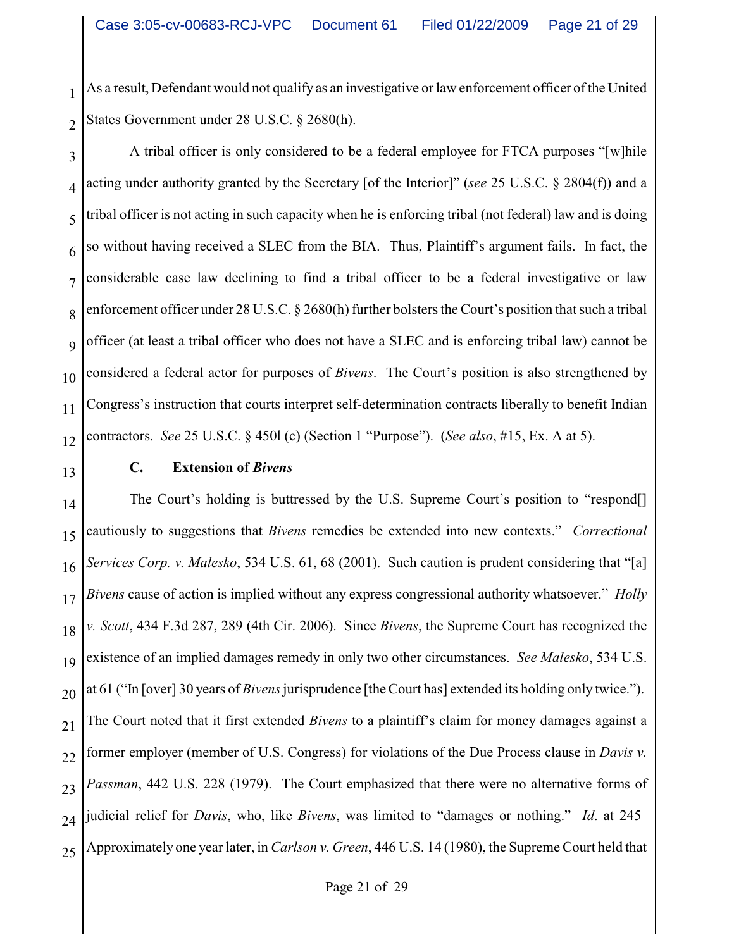1 2 As a result, Defendant would not qualify as an investigative or law enforcement officer of the United States Government under 28 U.S.C. § 2680(h).

3 4 5 6 7 8 9 10 11 12 A tribal officer is only considered to be a federal employee for FTCA purposes "[w]hile acting under authority granted by the Secretary [of the Interior]" (*see* 25 U.S.C. § 2804(f)) and a tribal officer is not acting in such capacity when he is enforcing tribal (not federal) law and is doing so without having received a SLEC from the BIA. Thus, Plaintiff's argument fails. In fact, the considerable case law declining to find a tribal officer to be a federal investigative or law enforcement officer under 28 U.S.C. § 2680(h) further bolsters the Court's position that such a tribal officer (at least a tribal officer who does not have a SLEC and is enforcing tribal law) cannot be considered a federal actor for purposes of *Bivens*. The Court's position is also strengthened by Congress's instruction that courts interpret self-determination contracts liberally to benefit Indian contractors. *See* 25 U.S.C. § 450l (c) (Section 1 "Purpose"). (*See also*, #15, Ex. A at 5).

13

## **C. Extension of** *Bivens*

14 15 16 17 18 19 20 21 22 23 24 25 The Court's holding is buttressed by the U.S. Supreme Court's position to "respond[] cautiously to suggestions that *Bivens* remedies be extended into new contexts." *Correctional Services Corp. v. Malesko*, 534 U.S. 61, 68 (2001). Such caution is prudent considering that "[a] *Bivens* cause of action is implied without any express congressional authority whatsoever." *Holly v. Scott*, 434 F.3d 287, 289 (4th Cir. 2006). Since *Bivens*, the Supreme Court has recognized the existence of an implied damages remedy in only two other circumstances. *See Malesko*, 534 U.S. at 61 ("In [over] 30 years of *Bivens* jurisprudence [the Court has] extended its holding only twice."). The Court noted that it first extended *Bivens* to a plaintiff's claim for money damages against a former employer (member of U.S. Congress) for violations of the Due Process clause in *Davis v. Passman*, 442 U.S. 228 (1979). The Court emphasized that there were no alternative forms of judicial relief for *Davis*, who, like *Bivens*, was limited to "damages or nothing." *Id*. at 245 Approximately one year later, in *Carlson v. Green*, 446 U.S. 14 (1980), the Supreme Court held that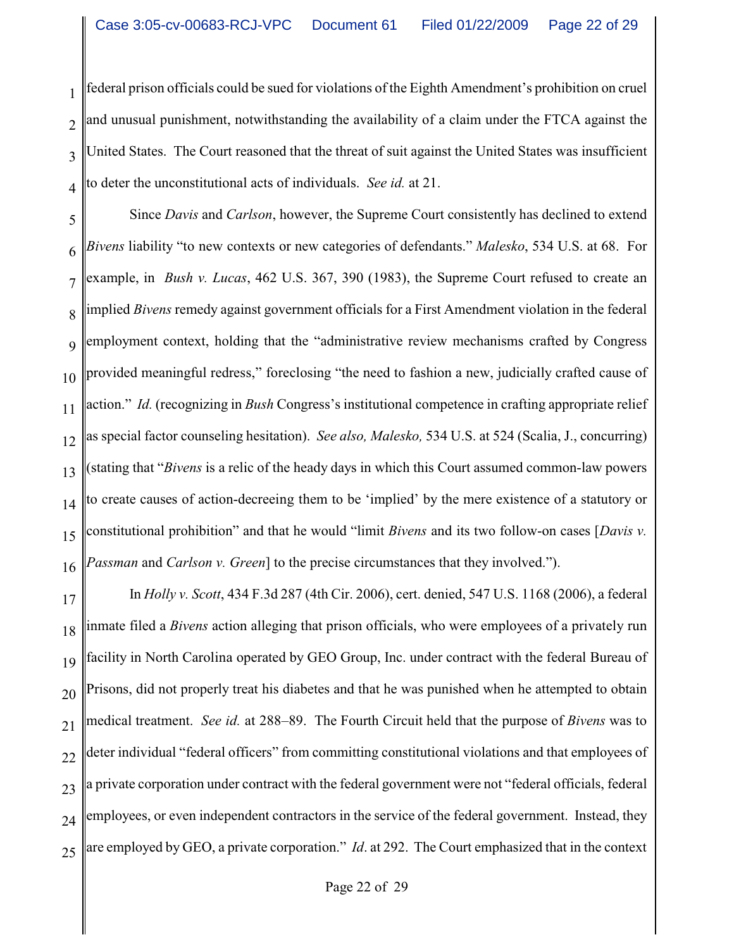1 2 3 4 federal prison officials could be sued for violations of the Eighth Amendment's prohibition on cruel and unusual punishment, notwithstanding the availability of a claim under the FTCA against the United States. The Court reasoned that the threat of suit against the United States was insufficient to deter the unconstitutional acts of individuals. *See id.* at 21.

5 6 7 8 9 10 11 12 13 14 15 16 Since *Davis* and *Carlson*, however, the Supreme Court consistently has declined to extend *Bivens* liability "to new contexts or new categories of defendants." *Malesko*, 534 U.S. at 68. For example, in *Bush v. Lucas*, 462 U.S. 367, 390 (1983), the Supreme Court refused to create an implied *Bivens* remedy against government officials for a First Amendment violation in the federal employment context, holding that the "administrative review mechanisms crafted by Congress provided meaningful redress," foreclosing "the need to fashion a new, judicially crafted cause of action." *Id.* (recognizing in *Bush* Congress's institutional competence in crafting appropriate relief as special factor counseling hesitation). *See also, Malesko,* 534 U.S. at 524 (Scalia, J., concurring) (stating that "*Bivens* is a relic of the heady days in which this Court assumed common-law powers to create causes of action-decreeing them to be 'implied' by the mere existence of a statutory or constitutional prohibition" and that he would "limit *Bivens* and its two follow-on cases [*Davis v. Passman* and *Carlson v. Green*] to the precise circumstances that they involved.").

17 18 19 20 21 22 23 24 25 In *Holly v. Scott*, 434 F.3d 287 (4th Cir. 2006), cert. denied, 547 U.S. 1168 (2006), a federal inmate filed a *Bivens* action alleging that prison officials, who were employees of a privately run facility in North Carolina operated by GEO Group, Inc. under contract with the federal Bureau of Prisons, did not properly treat his diabetes and that he was punished when he attempted to obtain medical treatment. *See id.* at 288–89. The Fourth Circuit held that the purpose of *Bivens* was to deter individual "federal officers" from committing constitutional violations and that employees of a private corporation under contract with the federal government were not "federal officials, federal employees, or even independent contractors in the service of the federal government. Instead, they are employed by GEO, a private corporation." *Id*. at 292. The Court emphasized that in the context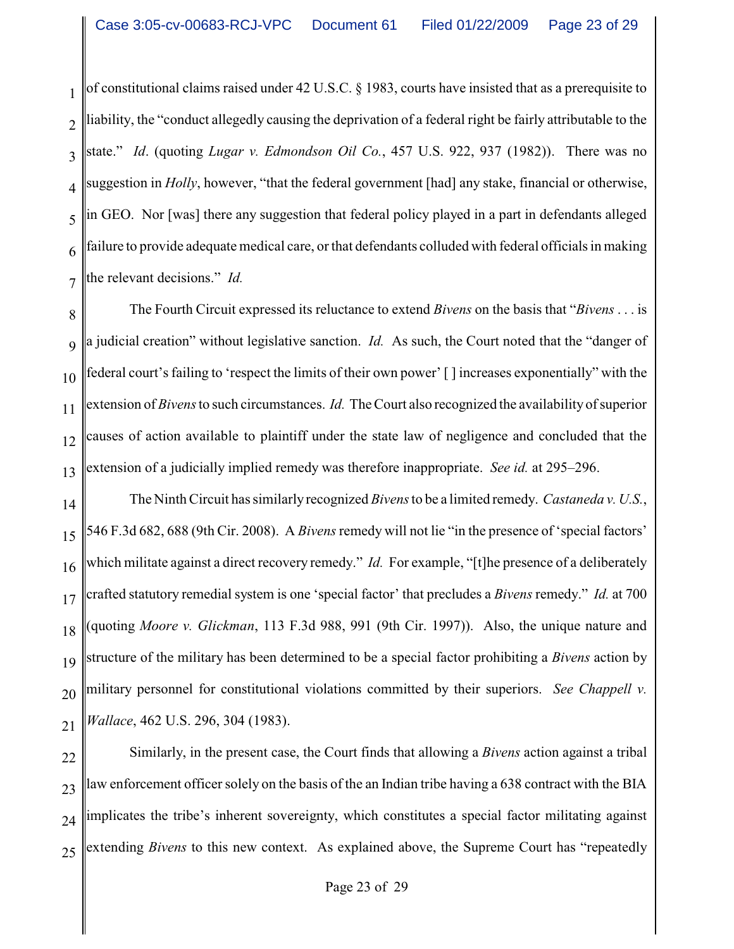1 2 3 4 5 6 7 of constitutional claims raised under 42 U.S.C. § 1983, courts have insisted that as a prerequisite to liability, the "conduct allegedly causing the deprivation of a federal right be fairly attributable to the state." *Id*. (quoting *Lugar v. Edmondson Oil Co.*, 457 U.S. 922, 937 (1982)). There was no suggestion in *Holly*, however, "that the federal government [had] any stake, financial or otherwise, in GEO. Nor [was] there any suggestion that federal policy played in a part in defendants alleged failure to provide adequate medical care, or that defendants colluded with federal officials in making the relevant decisions." *Id.*

8 9 10 11 12 13 The Fourth Circuit expressed its reluctance to extend *Bivens* on the basis that "*Bivens* . . . is a judicial creation" without legislative sanction. *Id.* As such, the Court noted that the "danger of federal court's failing to 'respect the limits of their own power' [ ] increases exponentially" with the extension of *Bivens*to such circumstances. *Id.* The Court also recognized the availability of superior causes of action available to plaintiff under the state law of negligence and concluded that the extension of a judicially implied remedy was therefore inappropriate. *See id.* at 295–296.

14 15 16 17 18 19 20 21 The Ninth Circuit has similarly recognized *Bivens*to be a limited remedy. *Castaneda v. U.S.*, 546 F.3d 682, 688 (9th Cir. 2008). A *Bivens*remedy will not lie "in the presence of 'special factors' which militate against a direct recovery remedy." *Id.* For example, "[t]he presence of a deliberately crafted statutory remedial system is one 'special factor' that precludes a *Bivens* remedy." *Id.* at 700 (quoting *Moore v. Glickman*, 113 F.3d 988, 991 (9th Cir. 1997)). Also, the unique nature and structure of the military has been determined to be a special factor prohibiting a *Bivens* action by military personnel for constitutional violations committed by their superiors. *See Chappell v. Wallace*, 462 U.S. 296, 304 (1983).

22 23 24 25 Similarly, in the present case, the Court finds that allowing a *Bivens* action against a tribal law enforcement officer solely on the basis of the an Indian tribe having a 638 contract with the BIA implicates the tribe's inherent sovereignty, which constitutes a special factor militating against extending *Bivens* to this new context. As explained above, the Supreme Court has "repeatedly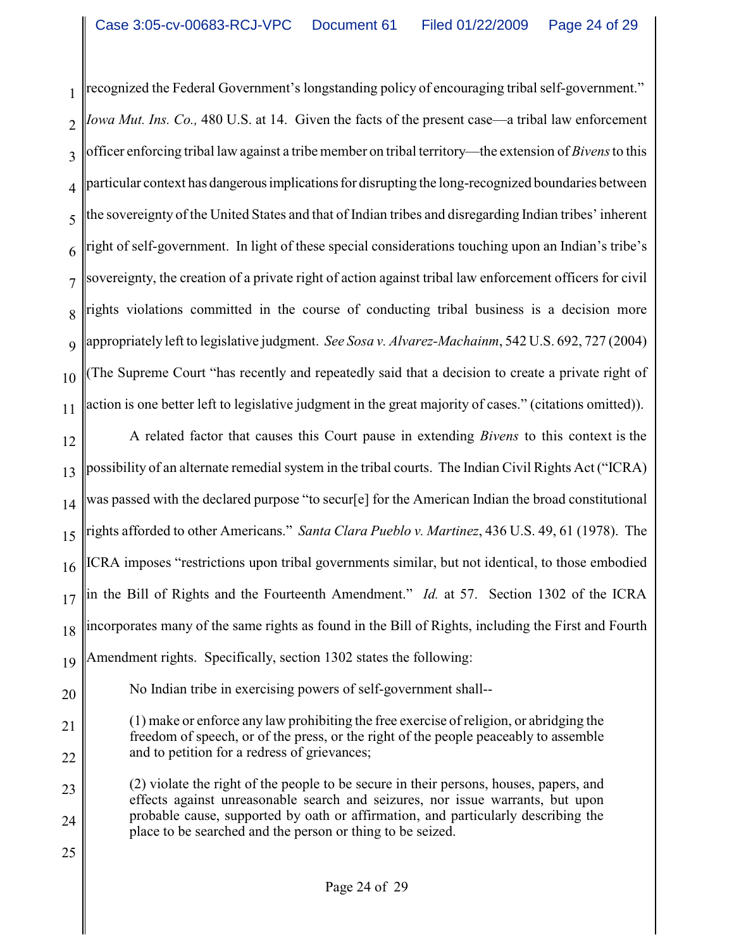1 2 3 4 5 6 7 8 9 10 11 recognized the Federal Government's longstanding policy of encouraging tribal self-government." *Iowa Mut. Ins. Co.,* 480 U.S. at 14. Given the facts of the present case—a tribal law enforcement officer enforcing tribal law against a tribe member on tribal territory—the extension of *Bivens*to this particular context has dangerousimplicationsfor disrupting the long-recognized boundaries between the sovereignty of the United States and that of Indian tribes and disregarding Indian tribes' inherent right of self-government. In light of these special considerations touching upon an Indian's tribe's sovereignty, the creation of a private right of action against tribal law enforcement officers for civil rights violations committed in the course of conducting tribal business is a decision more appropriately left to legislative judgment. *See Sosa v. Alvarez-Machainm*, 542 U.S. 692, 727 (2004) (The Supreme Court "has recently and repeatedly said that a decision to create a private right of action is one better left to legislative judgment in the great majority of cases." (citations omitted)).

12 13 14 15 16 17 18 19 A related factor that causes this Court pause in extending *Bivens* to this context is the possibility of an alternate remedial system in the tribal courts. The Indian Civil Rights Act ("ICRA) was passed with the declared purpose "to secur[e] for the American Indian the broad constitutional rights afforded to other Americans." *Santa Clara Pueblo v. Martinez*, 436 U.S. 49, 61 (1978). The ICRA imposes "restrictions upon tribal governments similar, but not identical, to those embodied in the Bill of Rights and the Fourteenth Amendment." *Id.* at 57. Section 1302 of the ICRA incorporates many of the same rights as found in the Bill of Rights, including the First and Fourth Amendment rights. Specifically, section 1302 states the following:

20

25

No Indian tribe in exercising powers of self-government shall--

21 22 (1) make or enforce any law prohibiting the free exercise of religion, or abridging the freedom of speech, or of the press, or the right of the people peaceably to assemble and to petition for a redress of grievances;

23 24 (2) violate the right of the people to be secure in their persons, houses, papers, and effects against unreasonable search and seizures, nor issue warrants, but upon probable cause, supported by oath or affirmation, and particularly describing the place to be searched and the person or thing to be seized.

Page 24 of 29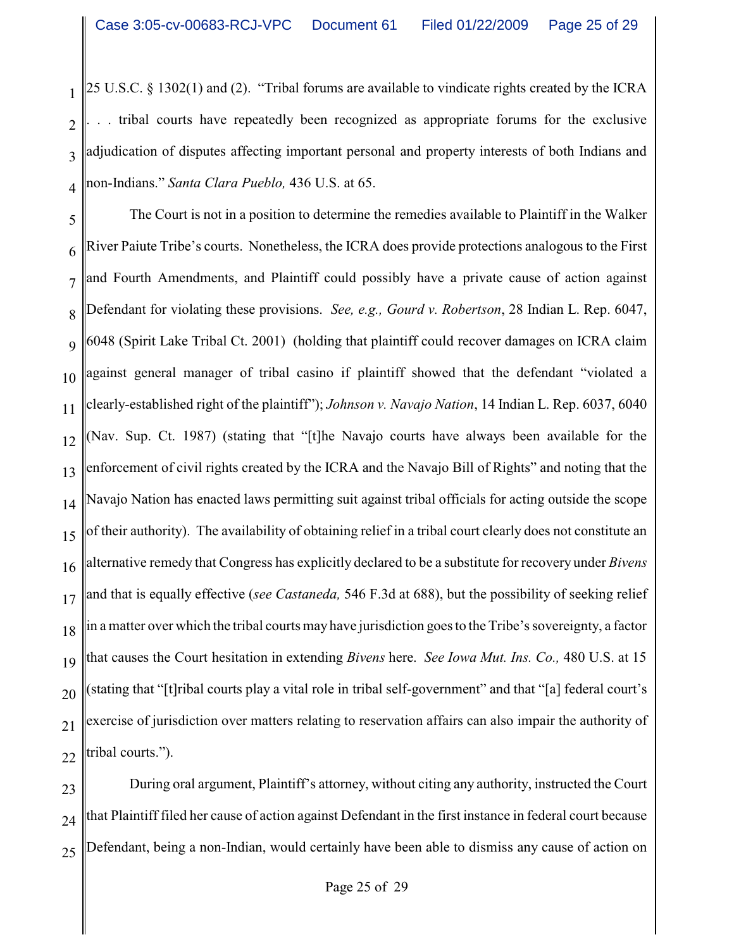1 2 3 4 25 U.S.C. § 1302(1) and (2). "Tribal forums are available to vindicate rights created by the ICRA tribal courts have repeatedly been recognized as appropriate forums for the exclusive adjudication of disputes affecting important personal and property interests of both Indians and non-Indians." *Santa Clara Pueblo,* 436 U.S. at 65.

5 6 7 8 9 10 11 12 13 14 15 16 17 18 19 20 21 22 The Court is not in a position to determine the remedies available to Plaintiff in the Walker River Paiute Tribe's courts. Nonetheless, the ICRA does provide protections analogous to the First and Fourth Amendments, and Plaintiff could possibly have a private cause of action against Defendant for violating these provisions. *See, e.g., Gourd v. Robertson*, 28 Indian L. Rep. 6047, 6048 (Spirit Lake Tribal Ct. 2001) (holding that plaintiff could recover damages on ICRA claim against general manager of tribal casino if plaintiff showed that the defendant "violated a clearly-established right of the plaintiff"); *Johnson v. Navajo Nation*, 14 Indian L. Rep. 6037, 6040 (Nav. Sup. Ct. 1987) (stating that "[t]he Navajo courts have always been available for the enforcement of civil rights created by the ICRA and the Navajo Bill of Rights" and noting that the Navajo Nation has enacted laws permitting suit against tribal officials for acting outside the scope of their authority). The availability of obtaining relief in a tribal court clearly does not constitute an alternative remedy that Congress has explicitly declared to be a substitute for recovery under *Bivens* and that is equally effective (*see Castaneda,* 546 F.3d at 688), but the possibility of seeking relief in a matter over which the tribal courts may have jurisdiction goes to the Tribe's sovereignty, a factor that causes the Court hesitation in extending *Bivens* here. *See Iowa Mut. Ins. Co.,* 480 U.S. at 15 (stating that "[t]ribal courts play a vital role in tribal self-government" and that "[a] federal court's exercise of jurisdiction over matters relating to reservation affairs can also impair the authority of tribal courts.").

23 24 25 During oral argument, Plaintiff's attorney, without citing any authority, instructed the Court that Plaintiff filed her cause of action against Defendant in the first instance in federal court because Defendant, being a non-Indian, would certainly have been able to dismiss any cause of action on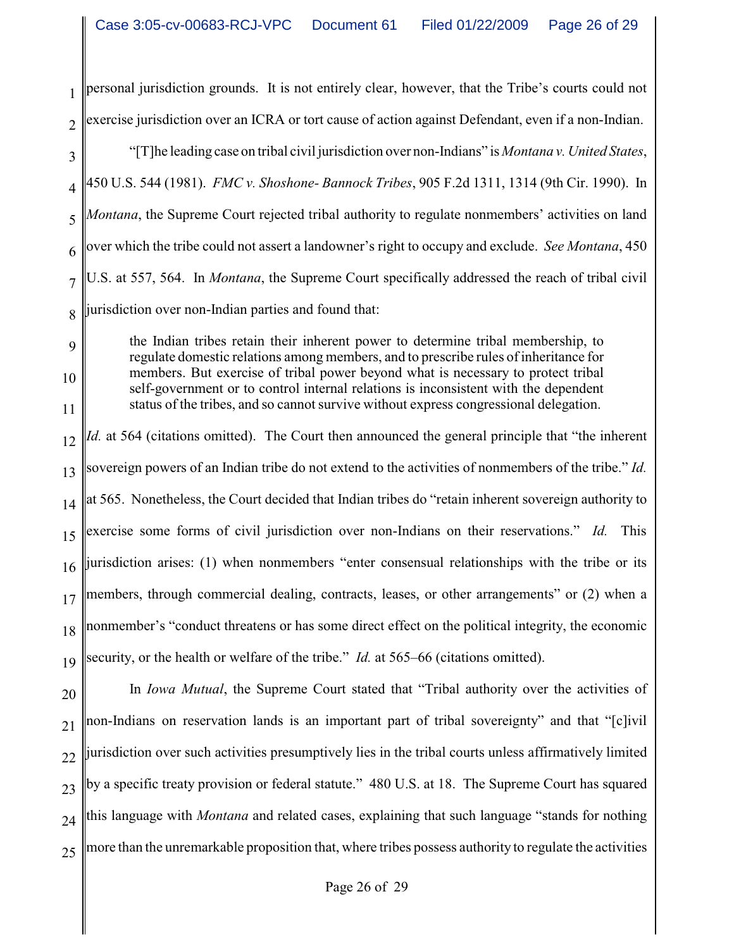1 2 personal jurisdiction grounds. It is not entirely clear, however, that the Tribe's courts could not exercise jurisdiction over an ICRA or tort cause of action against Defendant, even if a non-Indian.

3 4 5 6 7 8 "[T]he leading case on tribal civil jurisdiction over non-Indians" is *Montana v. United States*, 450 U.S. 544 (1981). *FMC v. Shoshone- Bannock Tribes*, 905 F.2d 1311, 1314 (9th Cir. 1990). In *Montana*, the Supreme Court rejected tribal authority to regulate nonmembers' activities on land over which the tribe could not assert a landowner's right to occupy and exclude. *See Montana*, 450 U.S. at 557, 564. In *Montana*, the Supreme Court specifically addressed the reach of tribal civil jurisdiction over non-Indian parties and found that:

the Indian tribes retain their inherent power to determine tribal membership, to regulate domestic relations among members, and to prescribe rules of inheritance for members. But exercise of tribal power beyond what is necessary to protect tribal self-government or to control internal relations is inconsistent with the dependent status of the tribes, and so cannot survive without express congressional delegation.

9

10

11

12 13 14 15 16 17 18 19 *Id.* at 564 (citations omitted). The Court then announced the general principle that "the inherent" sovereign powers of an Indian tribe do not extend to the activities of nonmembers of the tribe." *Id.* at 565. Nonetheless, the Court decided that Indian tribes do "retain inherent sovereign authority to exercise some forms of civil jurisdiction over non-Indians on their reservations." *Id.* This jurisdiction arises: (1) when nonmembers "enter consensual relationships with the tribe or its members, through commercial dealing, contracts, leases, or other arrangements" or (2) when a nonmember's "conduct threatens or has some direct effect on the political integrity, the economic security, or the health or welfare of the tribe." *Id.* at 565–66 (citations omitted).

20 21 22 23 24 25 In *Iowa Mutual*, the Supreme Court stated that "Tribal authority over the activities of non-Indians on reservation lands is an important part of tribal sovereignty" and that "[c]ivil jurisdiction over such activities presumptively lies in the tribal courts unless affirmatively limited by a specific treaty provision or federal statute." 480 U.S. at 18. The Supreme Court has squared this language with *Montana* and related cases, explaining that such language "stands for nothing more than the unremarkable proposition that, where tribes possess authority to regulate the activities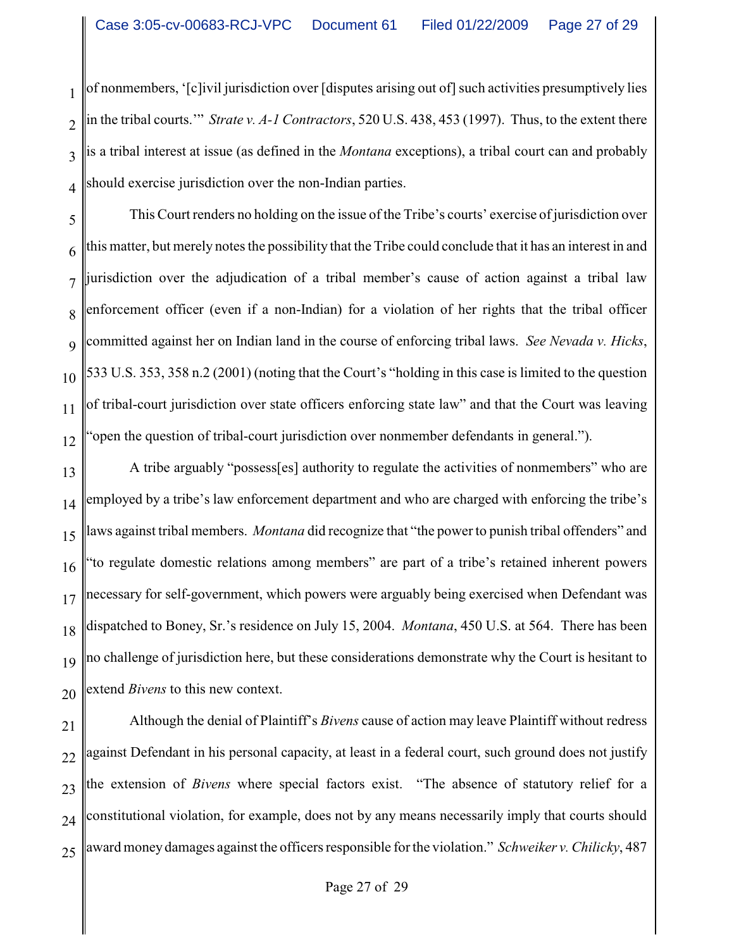1 2 3 4 of nonmembers, '[c]ivil jurisdiction over [disputes arising out of] such activities presumptively lies in the tribal courts.'" *Strate v. A-1 Contractors*, 520 U.S. 438, 453 (1997). Thus, to the extent there is a tribal interest at issue (as defined in the *Montana* exceptions), a tribal court can and probably should exercise jurisdiction over the non-Indian parties.

5 6 7 8 9 10 11 12 This Court renders no holding on the issue of the Tribe's courts' exercise of jurisdiction over this matter, but merely notes the possibility that the Tribe could conclude that it has an interest in and jurisdiction over the adjudication of a tribal member's cause of action against a tribal law enforcement officer (even if a non-Indian) for a violation of her rights that the tribal officer committed against her on Indian land in the course of enforcing tribal laws. *See Nevada v. Hicks*, 533 U.S. 353, 358 n.2 (2001) (noting that the Court's "holding in this case is limited to the question of tribal-court jurisdiction over state officers enforcing state law" and that the Court was leaving "open the question of tribal-court jurisdiction over nonmember defendants in general.").

13 14 15 16 17 18 19 20 A tribe arguably "possess[es] authority to regulate the activities of nonmembers" who are employed by a tribe's law enforcement department and who are charged with enforcing the tribe's laws against tribal members. *Montana* did recognize that "the power to punish tribal offenders" and "to regulate domestic relations among members" are part of a tribe's retained inherent powers necessary for self-government, which powers were arguably being exercised when Defendant was dispatched to Boney, Sr.'s residence on July 15, 2004. *Montana*, 450 U.S. at 564. There has been no challenge of jurisdiction here, but these considerations demonstrate why the Court is hesitant to extend *Bivens* to this new context.

21 22 23 24 25 Although the denial of Plaintiff's *Bivens* cause of action may leave Plaintiff without redress against Defendant in his personal capacity, at least in a federal court, such ground does not justify the extension of *Bivens* where special factors exist. "The absence of statutory relief for a constitutional violation, for example, does not by any means necessarily imply that courts should award money damages against the officers responsible for the violation." *Schweiker v. Chilicky*, 487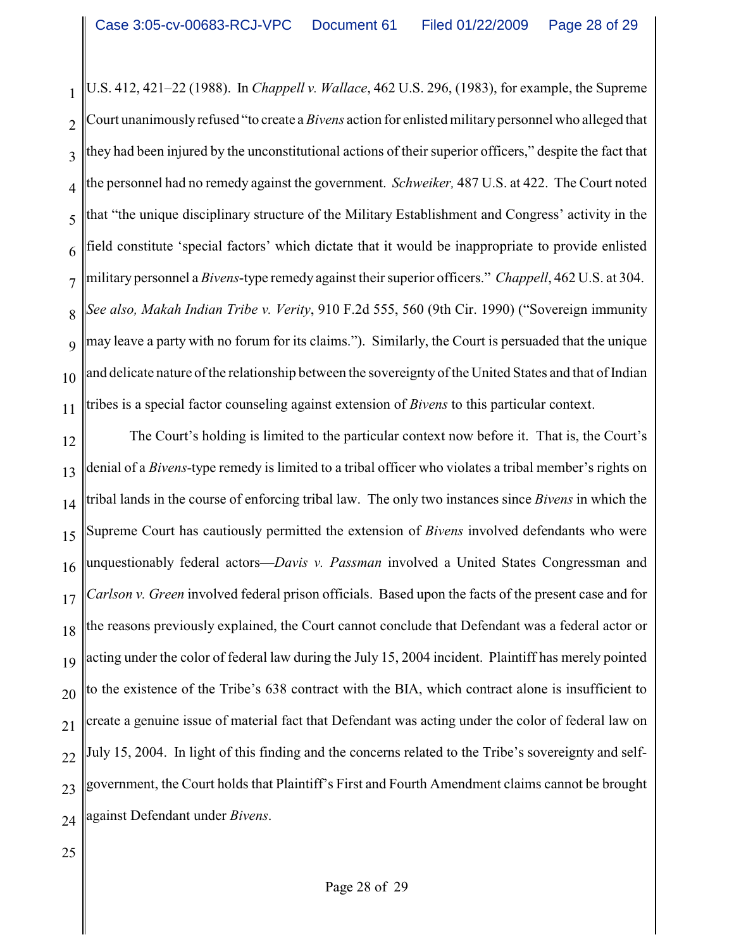1 2 3 4 5 6 7 8 9 10 11 U.S. 412, 421–22 (1988). In *Chappell v. Wallace*, 462 U.S. 296, (1983), for example, the Supreme Court unanimouslyrefused "to create a *Bivens* action for enlisted militarypersonnel who alleged that they had been injured by the unconstitutional actions of their superior officers," despite the fact that the personnel had no remedy against the government. *Schweiker,* 487 U.S. at 422. The Court noted that "the unique disciplinary structure of the Military Establishment and Congress' activity in the field constitute 'special factors' which dictate that it would be inappropriate to provide enlisted military personnel a *Bivens*-type remedy against their superior officers." *Chappell*, 462 U.S. at 304. *See also, Makah Indian Tribe v. Verity*, 910 F.2d 555, 560 (9th Cir. 1990) ("Sovereign immunity may leave a party with no forum for its claims."). Similarly, the Court is persuaded that the unique and delicate nature of the relationship between the sovereignty of the United States and that of Indian tribes is a special factor counseling against extension of *Bivens* to this particular context.

12 13 14 15 16 17 18 19 20 21 22 23 24 The Court's holding is limited to the particular context now before it. That is, the Court's denial of a *Bivens-*type remedy is limited to a tribal officer who violates a tribal member's rights on tribal lands in the course of enforcing tribal law. The only two instances since *Bivens* in which the Supreme Court has cautiously permitted the extension of *Bivens* involved defendants who were unquestionably federal actors—*Davis v. Passman* involved a United States Congressman and *Carlson v. Green* involved federal prison officials. Based upon the facts of the present case and for the reasons previously explained, the Court cannot conclude that Defendant was a federal actor or acting under the color of federal law during the July 15, 2004 incident. Plaintiff has merely pointed to the existence of the Tribe's 638 contract with the BIA, which contract alone is insufficient to create a genuine issue of material fact that Defendant was acting under the color of federal law on July 15, 2004. In light of this finding and the concerns related to the Tribe's sovereignty and selfgovernment, the Court holds that Plaintiff's First and Fourth Amendment claims cannot be brought against Defendant under *Bivens*.

25